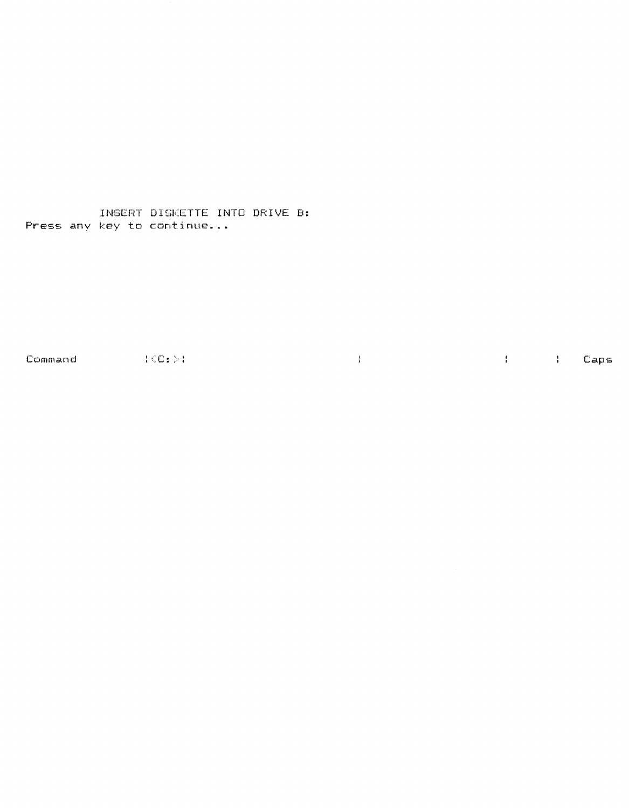INSERT DISKETTE INTO DRIVE **B:**  Press any key to continue...

Command (C:); (C:); (C:); (C:); (C:); (C:); (C:); (C:); (C:); (C:); (C:); (C:); (C:); (C:); (C:); (C:); (C:); (C:); (C:); (C:); (C:); (C:); (C:); (C:); (C:); (C:); (C:); (C:); (C:); (C:); (C:); (C:); (C:); (C:); (C:); (C:)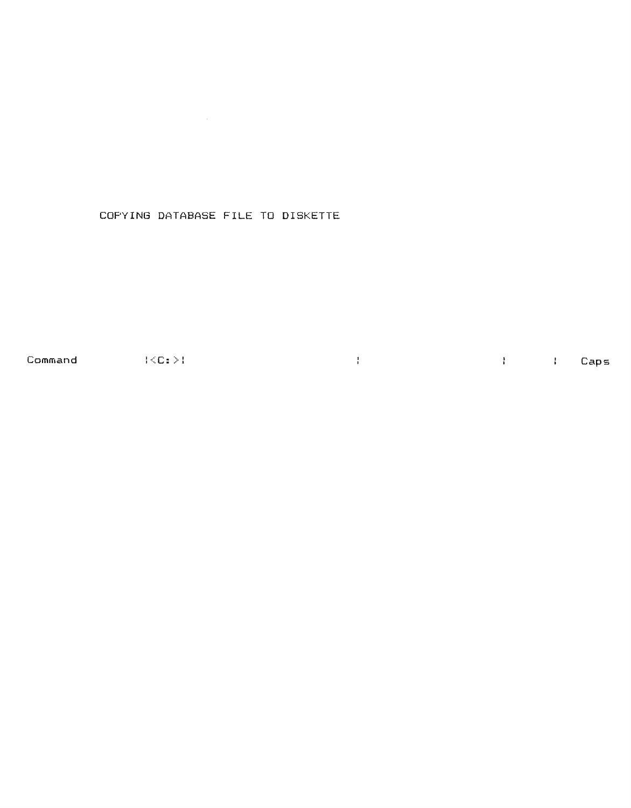# COPYING DATABASE FILE TO DISKETTE

Command :{C:>: Caps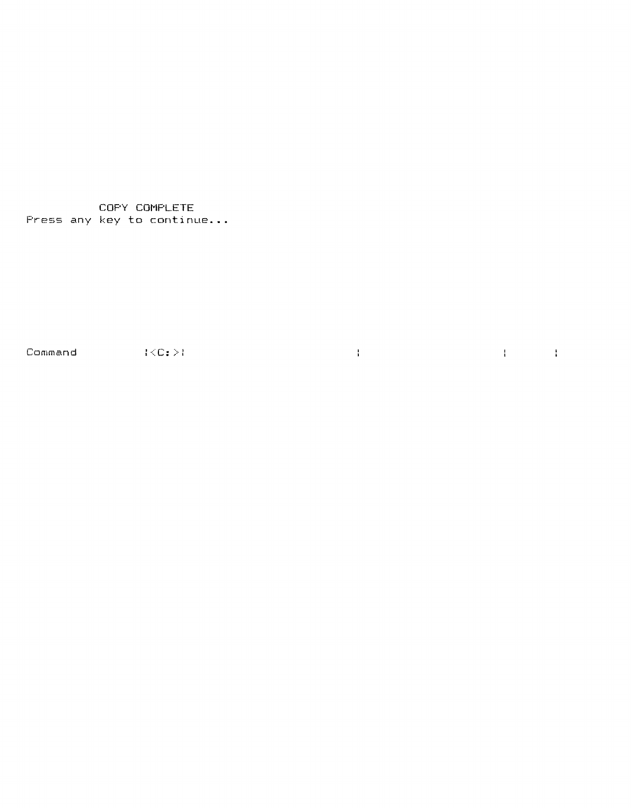COpy COMPLETE Press any key to **continue ...** 

Command :  $\{\langle C:\rangle\}$ 

 $\mathcal{A}=\mathcal{A}$  . The set of  $\mathcal{A}$ 

 $\mathcal{L}^{\text{max}}_{\text{max}}$  and  $\mathcal{L}^{\text{max}}_{\text{max}}$  and  $\mathcal{L}^{\text{max}}_{\text{max}}$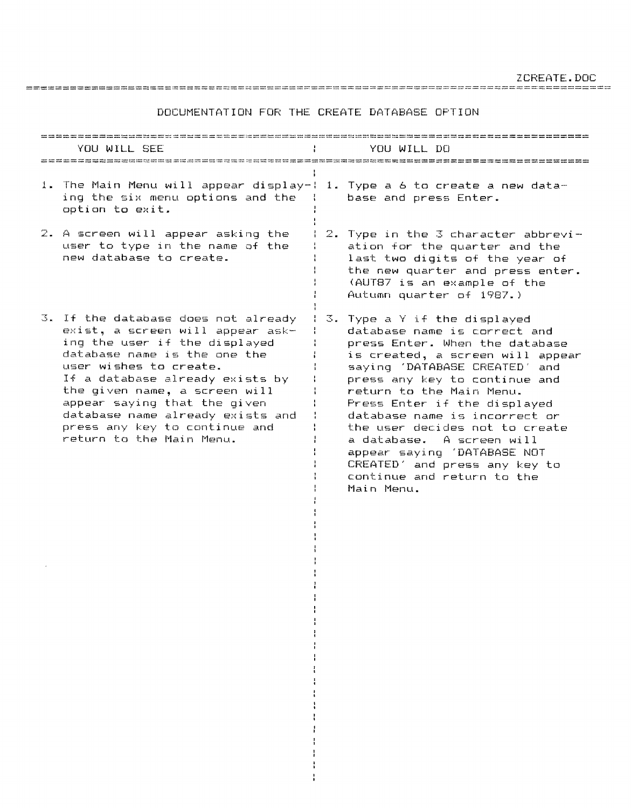ZCREATE.DOC

DOCUMENTATION FOR THE CREATE DATABASE OPTION

================================================================================

#### ============================================~============================== YOU WILL SEE YOU WILL DO ===========================================================================  $\mathbf{r}$ 1. The Main Menu will appear display-: 1. Type a 6 to create a new dataing the six menu options and the base and press Enter. option to exit. 2. A screen will appear asking the 2. Type in the  $3$  character abbrevi- $\pm$ user to type in the name of the ation for the quarter and the new database to create. last two digits of the year of the new quarter and press enter. (AUT87 is an example of the Autumn quarter of 1987.) 3. If the database does not already 3. Type a Y if the displayed exist, a screen will appear askdatabase name is correct and ing the user if the displayed press Enter. When the database database name is the one the is created, a screen will appear user wishes to create. saying 'DATABASE CREATED' and If a database already exists by press any key to continue and the given name, a screen will return to the Main Menu. appear saying that the given Press Enter if the displayed database name already exists and database name is incorrect or  $\frac{1}{4}$ press any key to continue and the user decides not to create return to the Main Menu. a database. A screen will appear saying 'DATABASE NOT CREATED' and press any key to  $\mathbf{I}$ continue and return to the Main Menu.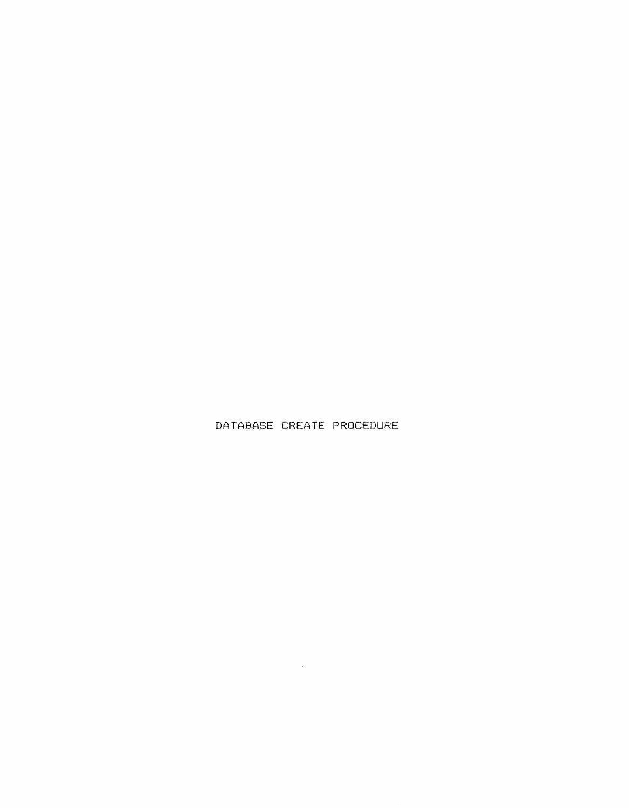DATABASE CREATE PROCEDURE

 $\mathcal{L}^{\text{max}}_{\text{max}}$  ,  $\mathcal{L}^{\text{max}}_{\text{max}}$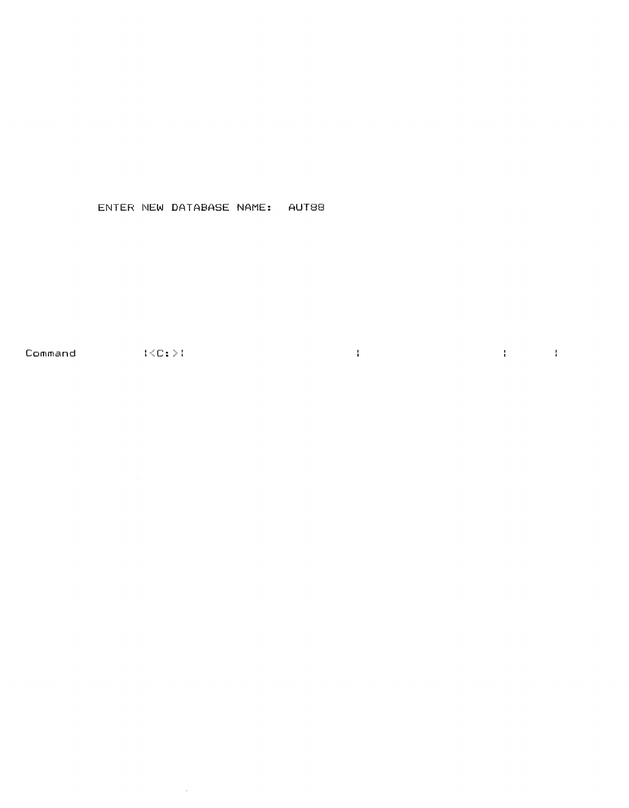### ENTER NEW DATABASE NAME: AUT88

 $\sim$ 

 $\label{eq:1} \frac{1}{4} \left( \frac{1}{2} \right) \left( \frac{1}{2} \right) \left( \frac{1}{2} \right) \left( \frac{1}{2} \right) \left( \frac{1}{2} \right) \left( \frac{1}{2} \right) \left( \frac{1}{2} \right) \left( \frac{1}{2} \right) \left( \frac{1}{2} \right) \left( \frac{1}{2} \right) \left( \frac{1}{2} \right) \left( \frac{1}{2} \right) \left( \frac{1}{2} \right) \left( \frac{1}{2} \right) \left( \frac{1}{2} \right) \left( \frac{1}{2} \$  $Commonand$   $\{\langle C_1 \rangle\}$  $\frac{1}{4} \int_{0}^{\infty} \frac{1}{\sqrt{2\pi}} \left( \frac{1}{\sqrt{2\pi}} \right)^{2} \frac{1}{\sqrt{2\pi}} \left( \frac{1}{\sqrt{2\pi}} \right)^{2} \frac{1}{\sqrt{2\pi}} \left( \frac{1}{\sqrt{2\pi}} \right)^{2} \frac{1}{\sqrt{2\pi}} \left( \frac{1}{\sqrt{2\pi}} \right)^{2} \frac{1}{\sqrt{2\pi}} \left( \frac{1}{\sqrt{2\pi}} \right)^{2} \frac{1}{\sqrt{2\pi}} \left( \frac{1}{\sqrt{2\pi}} \right)^{2} \frac{1}{$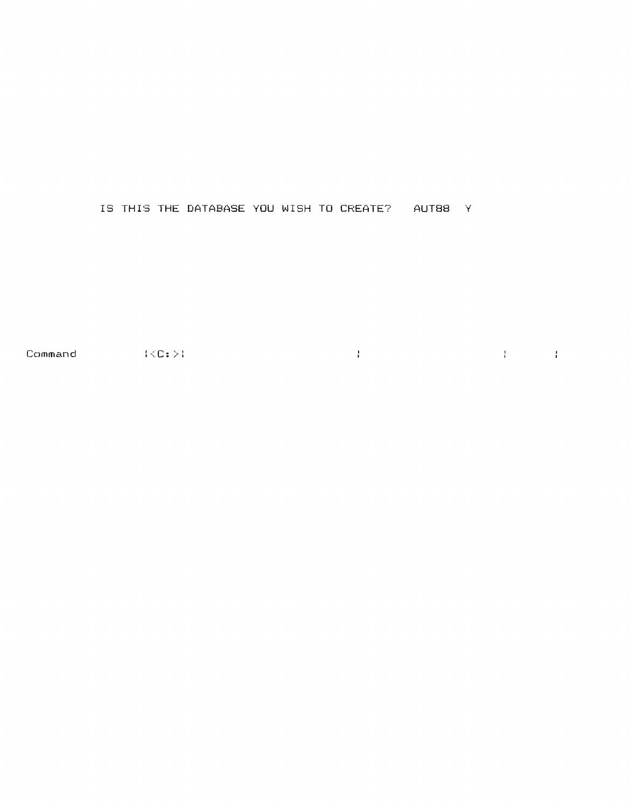#### IS THIS THE DATABASE YOU WISH TO CREATE? AUT88 Y

 $\mathcal{A}$  and  $\mathcal{A}$  is a set of the set of the set of  $\mathcal{A}$ Command  $\langle\langle C\colon\rangle\rangle$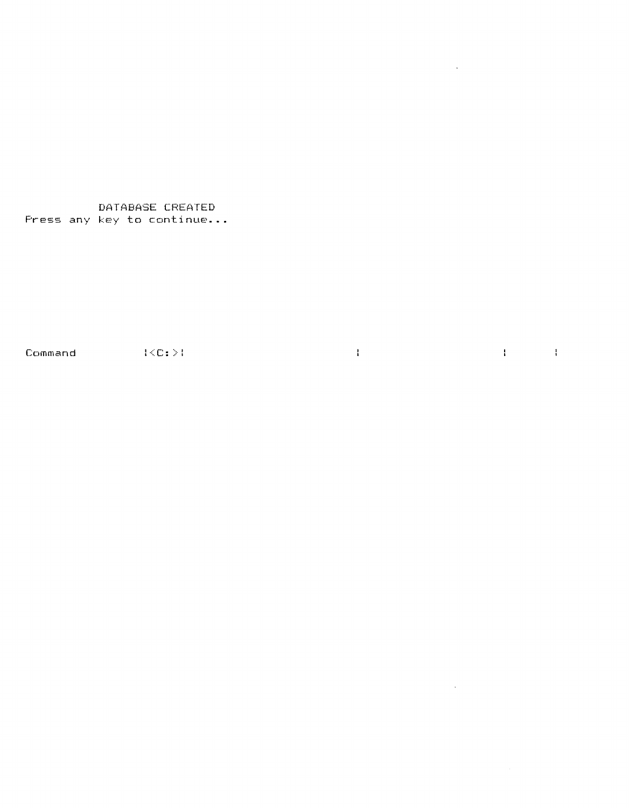DATABASE CREATED Press any key to continue...

 $\text{Command}$   $\{\langle C; \rangle\}$ 

 $\mathbf{q}$  and  $\mathbf{q}$  and  $\mathbf{q}$ 

 $\sim 10^7$ 

**The Committee of the Committee** 

 $\mathcal{L}^{\text{max}}_{\text{max}}$  .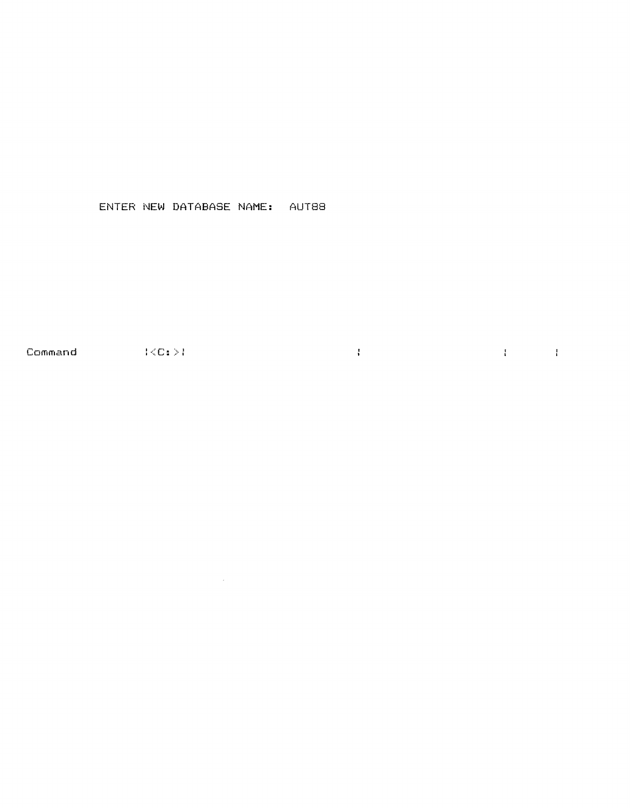## ENTER NEW DATABASE NAME: AUT88

Command (CC:  $>$  )  $\label{eq:1} \frac{1}{4} \int_{\mathbb{R}^3} \frac{1}{\sqrt{2}} \, \frac{1}{\sqrt{2}} \, \frac{1}{\sqrt{2}} \, \frac{1}{\sqrt{2}} \, \frac{1}{\sqrt{2}} \, \frac{1}{\sqrt{2}} \, \frac{1}{\sqrt{2}} \, \frac{1}{\sqrt{2}} \, \frac{1}{\sqrt{2}} \, \frac{1}{\sqrt{2}} \, \frac{1}{\sqrt{2}} \, \frac{1}{\sqrt{2}} \, \frac{1}{\sqrt{2}} \, \frac{1}{\sqrt{2}} \, \frac{1}{\sqrt{2}} \, \frac{1}{\sqrt{2}} \, \frac$  $\mathcal{A}=\mathcal{A}$  . The set of  $\mathcal{A}$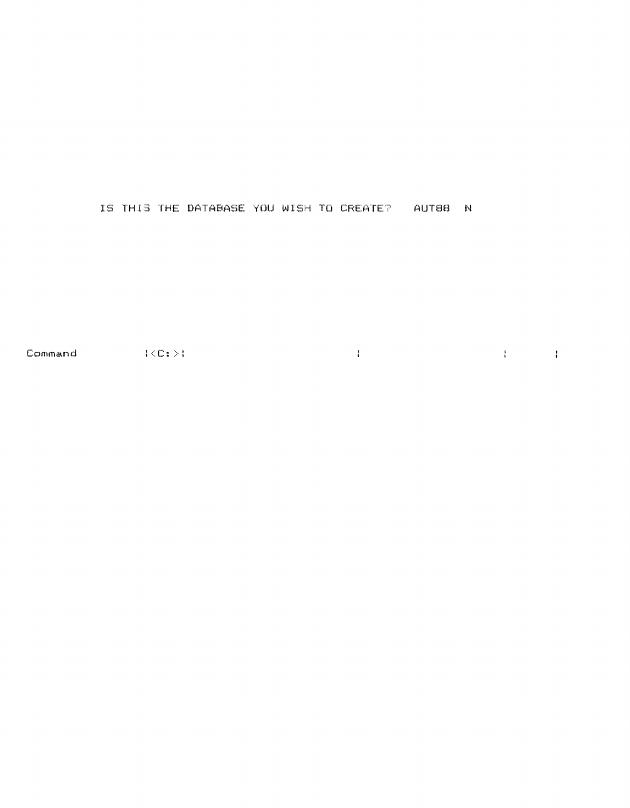## IS THIS THE DATABASE YOU WISH TO CREATE? AUT88 N

Command  $\{\langle C\colon \rangle\}$  $\mathcal{A}=\mathcal{A}$  , and  $\mathcal{A}=\mathcal{A}$  , and  $\mathcal{A}=\mathcal{A}$  , and  $\mathcal{A}=\mathcal{A}$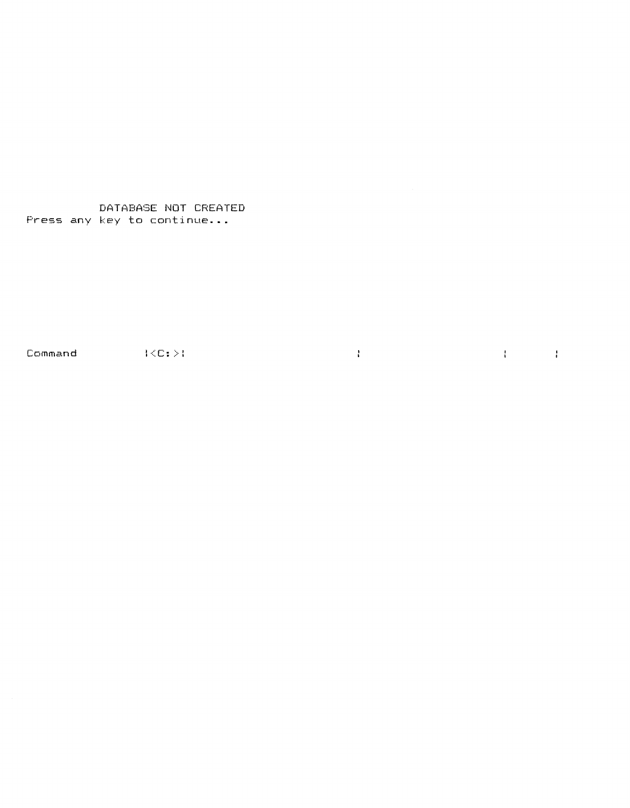DATABASE NOT CREATED Press any key to continue...

Command  $\{\langle C: \rangle\}$ 

 $\mathcal{A}=\mathcal{A}$  , where  $\mathcal{A}=\mathcal{A}$  is a set of the set of  $\mathcal{A}$  .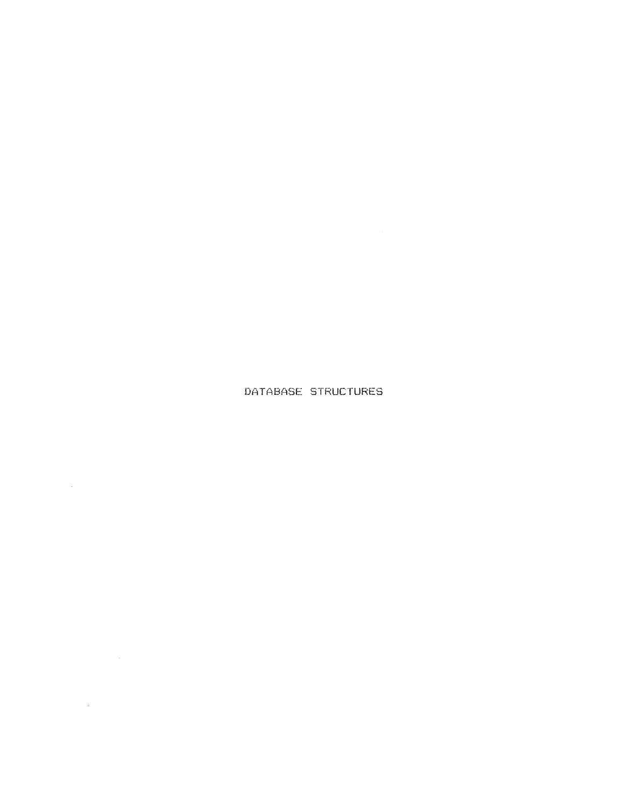# DATABASE STRUCTURES

 $\mathcal{L}^{\text{max}}_{\text{max}}$  and  $\mathcal{L}^{\text{max}}_{\text{max}}$ 

 $\label{eq:2.1} \mathcal{L} = \frac{1}{2} \sum_{i=1}^n \frac{1}{2} \sum_{j=1}^n \frac{1}{2} \sum_{j=1}^n \frac{1}{2} \sum_{j=1}^n \frac{1}{2} \sum_{j=1}^n \frac{1}{2} \sum_{j=1}^n \frac{1}{2} \sum_{j=1}^n \frac{1}{2} \sum_{j=1}^n \frac{1}{2} \sum_{j=1}^n \frac{1}{2} \sum_{j=1}^n \frac{1}{2} \sum_{j=1}^n \frac{1}{2} \sum_{j=1}^n \frac{1}{2} \sum_{j=$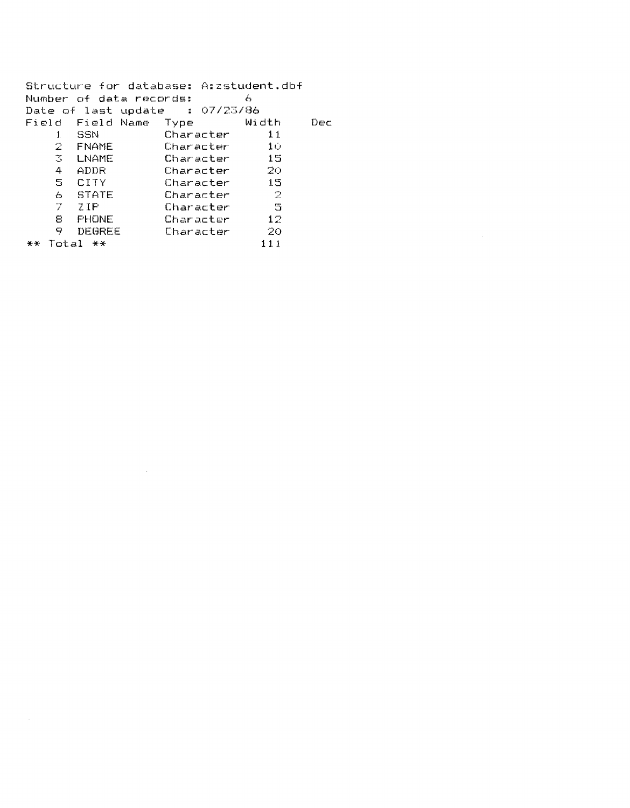Structure for database: A:zstudent.dbf Number of data records: 6 Date of last update :  $07/23/86$ Field Field Name Type Width Dec 11 Character 11<br>Character 10 2 FNAME \* Character 10<br>
Character 15 ~ ~ LNAME Character 15 4 AD DR Character 20 Character<br>Character 6 STATE Character <sup>~</sup> 7 ; ZIP Character 5 ~ 8 PHONE Character 12 9 Degree Character 20<br>111 **\*\*** Total **\*\*** 111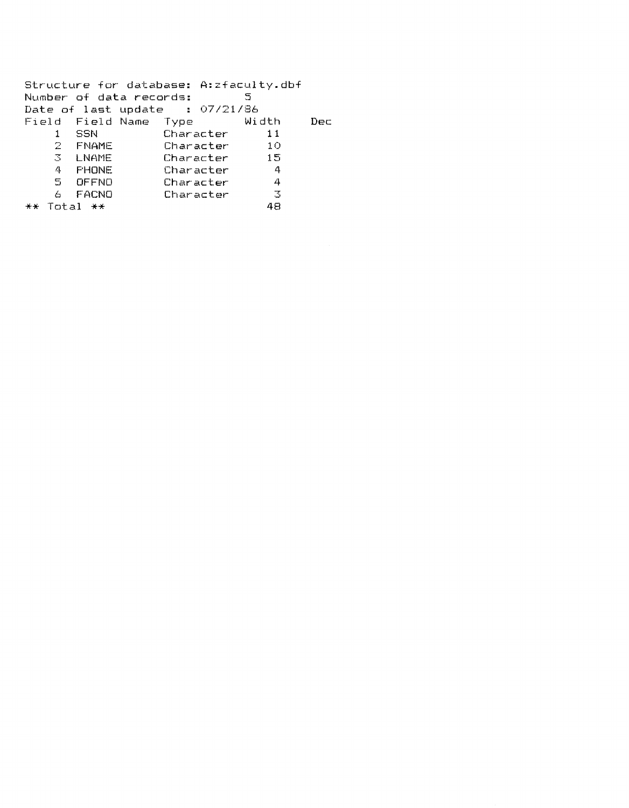|                         | Structure for database: A: zfaculty.dbf |              |     |
|-------------------------|-----------------------------------------|--------------|-----|
| Number of data records: |                                         | 5            |     |
|                         | Date of last update $\cdot$ 07/21/86    |              |     |
|                         | Field Field-Name Type - Width           |              | Dec |
| – SSN<br>1              | Character                               | 11           |     |
| 2.<br><b>FNAME</b>      | Character                               | 10           |     |
| 3 LNAME                 | Character                               | $\sim$ 15    |     |
| 4 FHONE                 | Character                               | -4           |     |
| 5 OFFNO                 | Character                               | 4            |     |
| FACNO<br>6              | Character                               | $\mathbb{Z}$ |     |
| $Total$ $**$<br>$+ +$   |                                         | 48           |     |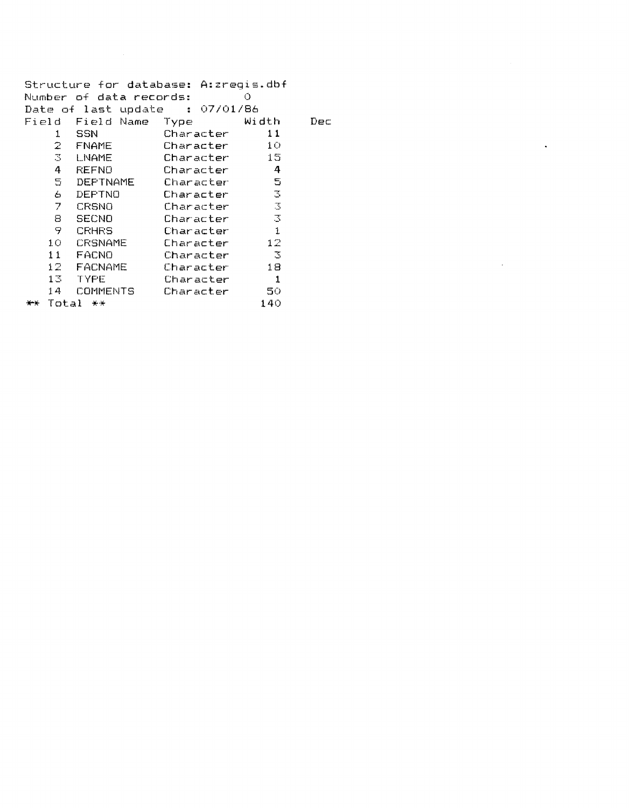|                | Structure for database: A:zreqis.dbf    |           |                |     |
|----------------|-----------------------------------------|-----------|----------------|-----|
|                | Number of data records:                 |           | О              |     |
|                | Date of last update $\qquad$ : 07/01/86 |           |                |     |
| Field          | Field Name                              | Type      | Width          | Dec |
| 1              | SSN                                     | Character | 11             |     |
|                | 2 FNAME                                 | Character | 10             |     |
| 3.             | LNAME                                   | Character | 15             |     |
| 4              | REFNO                                   | Character | 4              |     |
| $\Xi$ .        | DEPTNAME                                | Character | -5             |     |
| 6.             | DEPTNO                                  | Character | - 31           |     |
| $\overline{7}$ | CRSNO                                   | Character | - 3            |     |
| 8              | <b>SECNO</b>                            | Character | $\mathbb{R}^n$ |     |
| 9              | <b>CRHRS</b>                            | Character | 1              |     |
|                | 10 CRSNAME                              | Character | 12             |     |
|                | 11 FACNO                                | Character | -3             |     |
|                | 12 FACNAME                              | Character | 18             |     |
|                | 13 TYPE                                 | Character | $\mathbf{1}$   |     |
| 14             | <b>COMMENTS</b>                         | Character | -50            |     |
|                | Total<br>美学                             |           | 140            |     |
|                |                                         |           |                |     |

 $\sim 10^{-10}$ 

 $\mathcal{L}^{\text{max}}_{\text{max}}$  and  $\mathcal{L}^{\text{max}}_{\text{max}}$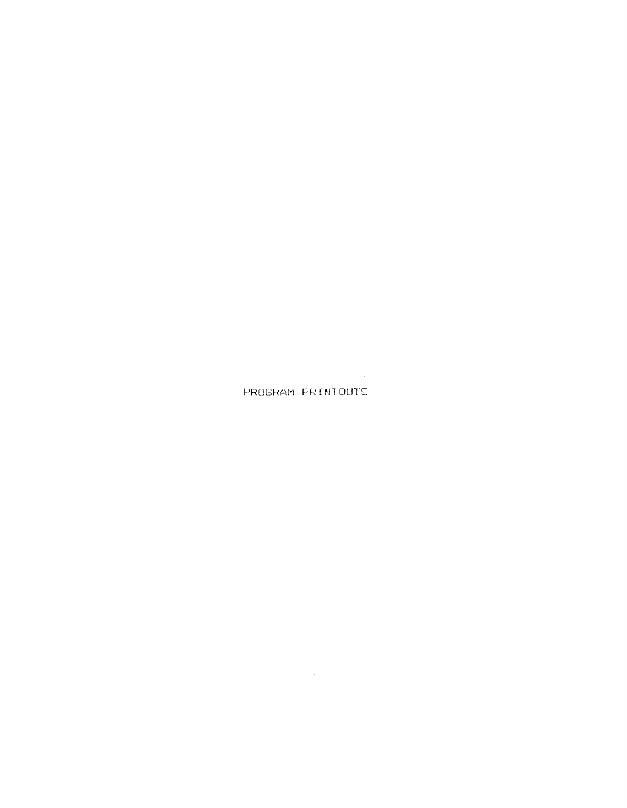PROGRAM PRINTOUTS

 $\mathcal{L}^{\text{max}}_{\text{max}}$  and  $\mathcal{L}^{\text{max}}_{\text{max}}$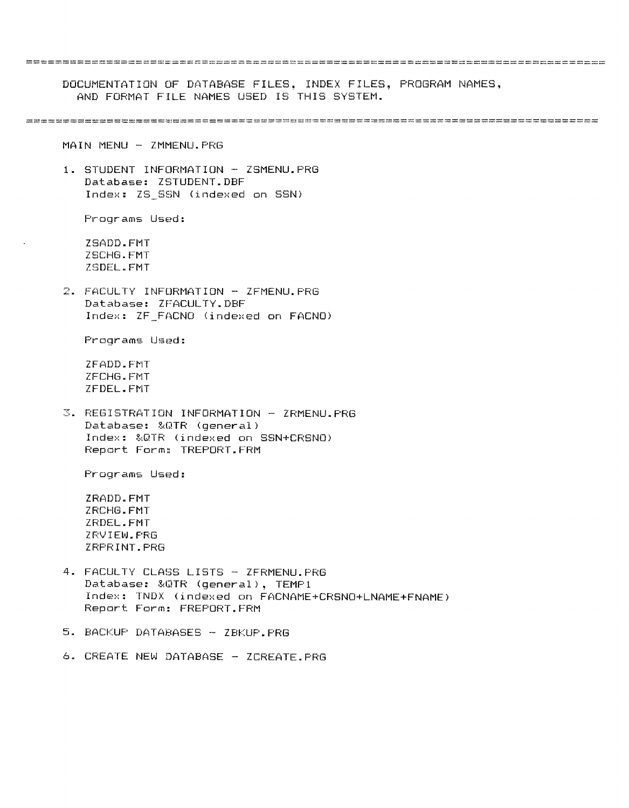=============================================================================== DOCUMENTATION OF DATABASE FILES, INDEX FILES, PROGRAM NAMES. AND FORMAT FILE NAMES USED IS THIS SYSTEM. ============================================================================== MAIN MENU - ZMMENU.PRG 1. STUDENT INFORMATION - ZSMENU.PRG Database: ZSTUDENT.DBF Index: ZS\_SSN (indexed on SSN) Programs Used: ZSADD.FMT ZSCHG.FMT ZSDEL.FMT 2. FACULTY INFORMATION - ZFMENU.PRG Database: ZFACULTY.DBF Index: ZF\_FACNO (indexed on FACNO) Programs Used: ZFADD.FMT ZFCHG.FMT ZFDEL.FMT 3. REGISTRATION INFORMATION - ZRMENU.PRG Database: &QTR (general) Index: &QTR (indexed on SSN+CRSNO) Report Form: TREPORT.FRM Programs Used: ZRADD.FMT ZRCHG.FMT ZRDEL.FMT ZRVIEW.PRG ZRPRINT.PRG 4. FACULTY CLASS LISTS - ZFRMENU.PRG Database: &QTR (general), TEMP1 Index: TNDX (indexed on FACNAME+CRSNO+LNAME+FNAME) Report Form: FREPORT.FRM 5. BACKUP DATABASES - ZBKUP.PRG 6. CREATE NEW DATABASE - ZCREATE.PRG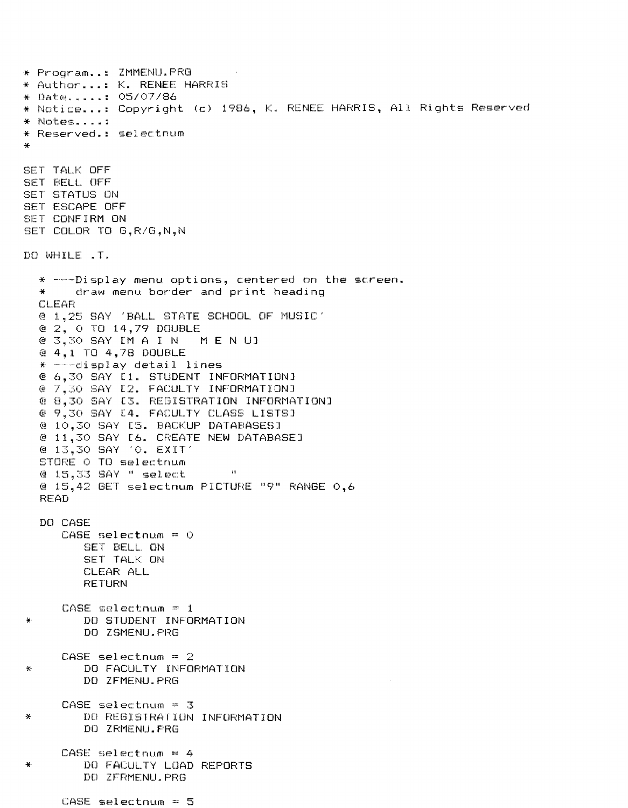\* Program .. : ZMMENU.PRG \* Author ... : K. RENEE HARRIS \* Notice...: Copyright (c) 1986, K. RENEE HARRIS, All Rights Reserved \* Not€:~s .... : \* Reserved.: selectnum \* SET TALK OFF SET BELL OFF SET STATUS ON SET ESCAPE OFF SET CONFIRM ON SET COLOR TO G,R/G,N,N DO WHILE .T.  $*$  ---Display menu options, centered on the screen.<br> $*$  draw menu border and print heading draw menu border and print heading CLEAR @ 1,25 SAY 'BALL STATE SCHOOL OF MUSIC' @ 2, 0 TO 14,79 DOUBLE @ 3,30 SAY [M A I N MEN U] @ 4,1 TO 4,78 DOUBLE  $*$  ---display detail lines @ 6,30 SAY [1. STUDENT INFORMATION] @ 7,30 SAY [2. FACULTY INFORMATION] @ 8,30 SAY [3. REGISTRATION INFORMATION] @ 9,30 SAY [4. FACULTY CLASS LISTS] @ 10,30 SAY [5. BACKUP DATABASES] @ 11,30 SAY [6. CREATE NEW DATABASE] @ 13,30 SAY '0. EXIT' STORE 0 TO selectnum @ 15,33 SAY " select "  $(9\ 15, 42\ 6ET\ 5electnum\ PICTURE\ 19" RANGE  $0,6$$ READ DO CASE  $CASE$  selectnum =  $0$ SET BELL, ON SET TALK ON CLEAR ALL **RETURN** CASE selectnum = 1 \* DO STUDENT INFORMATION DO ZSMENU. PRG CASE selectnum = 2 \* DO FACULTY INFORMATION DO ZFMENU.PRG CASE selectnum = 3 \* DO REGISTRATION INFORMATION DO ZRMENU. PRG  $CASE$  selectnum =  $4$ \* DO FACULTY LOAD REPORTS DO ZFRMENU. PRG CASE selectnum = 5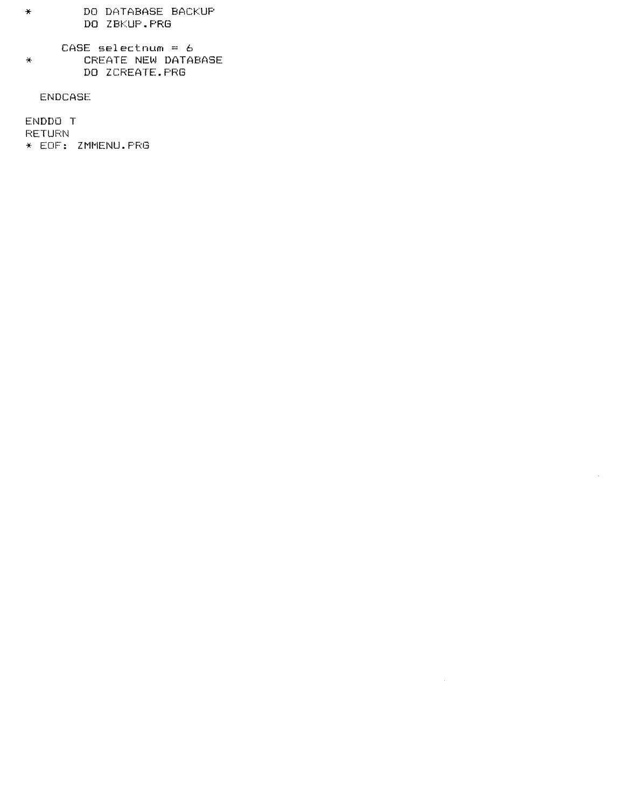- DO DATABASE BACKUP  $\frac{1}{2}$ DO ZBKUP.PRG
- CASE selectnum =  $6$ CREATE NEW DATABASE  $\frac{1}{\sqrt{2}}$ DO ZCREATE. PRG

 $\sim 10^6$ 

**ENDCASE** 

ENDDO T **RETURN** \* EOF: ZMMENU. PRG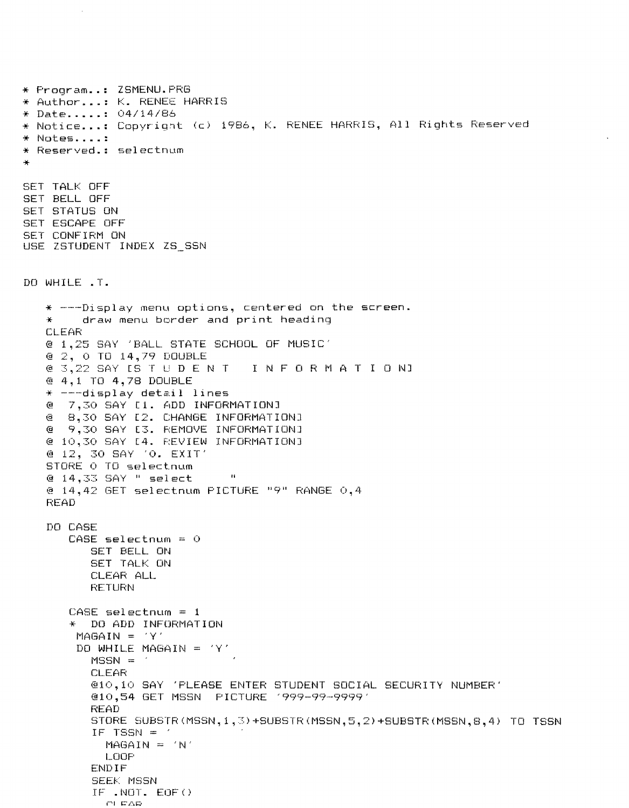\* Program .. : ZSMENU.PRG \* Author ... : K. RENEE HARRIS \* Notice...: Copyright (c) 1986, K. RENEE HARRIS, All Rights Reserved \* Notes .... : \* Reserved.: selectnum \* SET TALK OFF SET BELL OFF SET STATUS ON SET ESCAPE OFF SET CONFIRM ON USE ZSTUDENT INDEX ZS\_SSN DO WHILE .T.  $*$  ---Display menu options, centered on the screen.<br> $*$  draw menu border and print heading draw menu border and print heading **CLEAR** @ 1,25 SAY 'BALL STATE SCHOOL OF MUSIC' @ 2, 0 TO 14,79 DOUBLE @ 3,22 SAY [S T U DEN TIN FOR MAT ION] @ 4,1 TO 4,78 DOUBLE  $*$  ---display detail lines @ 7,30 SAY [1. ADD INFORMATION] @ 8,30 SAY [2. CHANGE INFORMATION] @ 9,30 SAY [3. REMOVE INFORMATION] @ 10,30 SAY [4. REVIEW INFORMATION] @ 12, 30 SAY '0. EXIT' STORE 0 TO selectnum @ 14,33 SAY " select " @ 14,42 GET selectnum PICTURE "9" RANGE 0,4 READ DO CASE  $CASE$  selectnum = 0 SET BELL ON SET TALK ON CLEAFi: ALL **RETURN**  $CASE$  selectnum =  $1$ \* DO ADD INFORMATION  $MAGAIN = 'Y'$ DO WHILE MAGAIN =  $'Y'$  $MSSN =$ CLEAR @10,10 SAY 'PLEASE ENTER STUDENT SOCIAL SECURITY NUMBER' @10,54 GET MSSN PICTURE '999-99-9999' READ STORE SUBSTR(MSSN,I,3)+SUBSTR(MSSN,5,2)+SUBSTR(MSSN,8,4) TO TSSN IF TSSN  $=$  '  $MAGAIN = 'N'$ LOOP ENDIF SEEK MSSN  $IF$ . NOT.  $EOF()$ **COLEAR**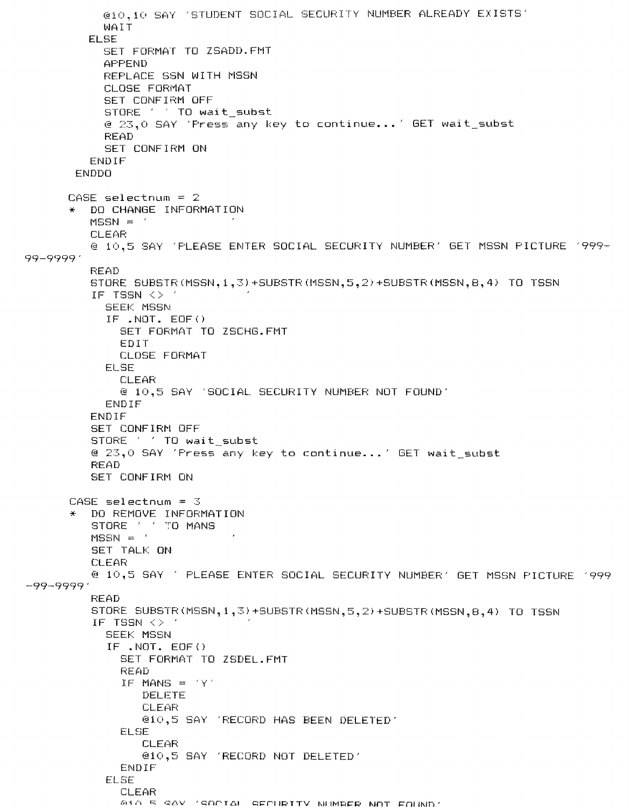```
@10,10 SAY 'STUDENT SOCIAL SECURITY NUMBER ALREADY EXISTS'
           WATT
         EL SE
           SET FORMAT TO ZSADD. FMT
           APPEND
           REPLACE SSN WITH MSSN
           CLOSE FORMAT
           SET CONFIRM OFF
           STORE ' TO wait_subst
           @ 23.0 SAY 'Press any key to continue...' GET wait_subst
           READ
           SET CONFIRM ON
         ENDIF
       ENDDO
      CASE selectnum = 2* DO CHANGE INFORMATION
         MSSN =CLEAR
         @ 10,5 SAY 'FLEASE ENTER SOCIAL SECURITY NUMBER' GET MSSN PICTURE '999-
99-99991
         READ
         STORE SUBSTR (MSSN, 1, 3) + SUBSTR (MSSN, 5, 2) + SUBSTR (MSSN, 8, 4) TO TSSN
         IF TSSN <> *
           SEEK MSSN
           IF. NOT. EOF()SET FORMAT TO ZSCHG.FMT
             EDIT
             CLOSE FORMAT
           ELSE
             CLEAR
             @ 10,5 SAY 'SOCIAL SECURITY NUMBER NOT FOUND'
           ENDIF
         ENDIF
         SET CONFIRM OFF
         STORE ' ' TO wait_subst
         @ 23,0 SAY 'Fress any key to continue...' GET wait subst
         READ
         SET CONFIRM ON
      CASE selectnum = 3* DO REMOVE INFORMATION
         STORE ' ' TO MANS
         MSSN =SET TALK ON
         CLEAR
         @ 10,5 SAY ' PLEASE ENTER SOCIAL SECURITY NUMBER' GET MSSN PICTURE '999
-99-9999
         READ
         STORE SUBSTR(MSSN, 1, 3) +SUBSTR(MSSN, 5, 2) +SUBSTR(MSSN, 8, 4) TO TSSN
         IF TSSN \langle \rangle '
           SEEK MSSN
           IF .NOT. EOF()
             SET FORMAT TO ZSDEL.FMT
             READ
             IF MANS = 'Y'DELETE
                CLEAR
                @10,5 SAY 'RECORD HAS BEEN DELETED'
             ELSE
                CLEAR
                @10,5 SAY 'RECORD NOT DELETED'
             ENDIF
           ELSE
             CLEAR
             ALO 5 SAY 'SOCIAL SECURITY NUMBER NOT EQUADY
```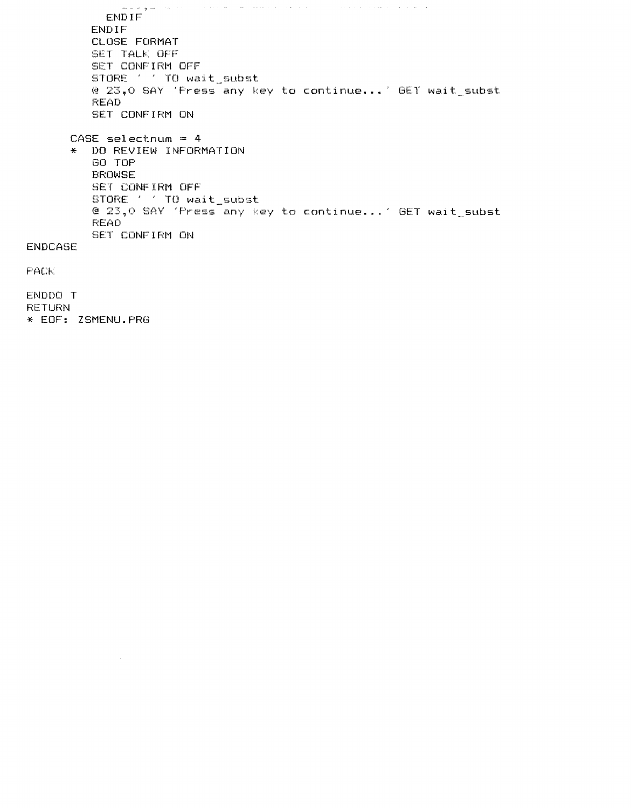. The contract of the spectrum contract of the contract  $\sigma$  $\{x_{i},x_{i},y_{i},z_{i}\}$  , where  $\{x_{i},x_{i},y_{i}\}$  ,  $\{x_{i},x_{i},y_{i}\}$  ,  $\{x_{i},y_{i}\}$ ENDIF ENDIF CLOSE FORMAT SET TALK OFF SET CONFIRM OFF STORE . . TO wait\_subst @ 23,0 SAY 'Press any key to continue...' GET wait\_subst READ SET CONFIRM ON CASE selectnum = 4 \* DO REVIEW INFORMATION GO TOP BROWSE SET CONFIRM OFF STORE . . TO wait\_subst @ 23,0 SAY 'Press any key to continue...' GET wait\_subst READ SET CONFIRM ON ENDCASE PACK

ENDDO T RETURN \* EOF: ZSMENU.PRG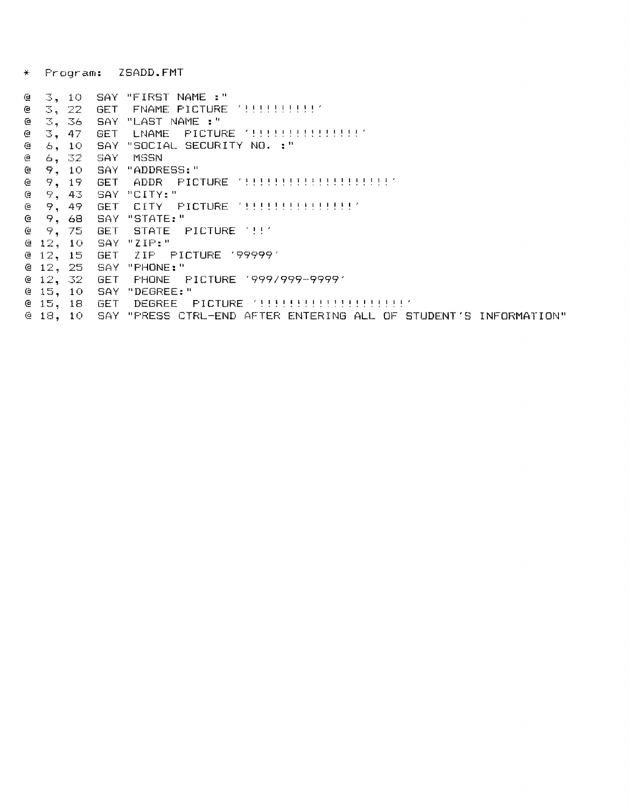\* Program: ZSADD.FMT

| G. | З.         | 10.   |            | SAY "FIRST NAME :"                                               |
|----|------------|-------|------------|------------------------------------------------------------------|
| e  | 3,         | -22.  | <b>GET</b> | FNAME PICTURE ' !!!!!!!!!!!                                      |
| ఆ  | 3.         | -36   | SAY        | "LAST NAME :"                                                    |
| e  | З,         | - 47  | GET        | <b>PICTURE '!!!!!!!!!!!!!!!!</b><br>LNAME.                       |
| e  | 6.         | -10   | SAY        | "SOCIAL SECURITY NO. :"                                          |
| ē  |            | 6,32  | -SAY       | MSSN                                                             |
| ē  | 9.         | -10   | SAY        | "ADDRESS:"                                                       |
| ē  | 9.         | -19   | <b>GET</b> |                                                                  |
| (e |            | 9, 43 | <b>SAY</b> | "CITY:"                                                          |
| e  | 9.         | 49.   | GE T       | CITY PICTURE '!!!!!!!!!!!!!!!                                    |
| e  | 9.         | -68   | SAY        | "STATE:"                                                         |
| €  | 9.         | -75   | 6ET.       | STATE PICTURE '!!'                                               |
|    | $C = 12$ , | -10.  | -SAY       | PZIP:"                                                           |
|    | $e$ 12,    | -15.  | GET        | ZIP PICTURE '99999'                                              |
|    | $C = 12$ , | -25   | SAY        | "PHONE:"                                                         |
|    | $e_{12}$   | -32   | GET        | PHONE PICTURE 1999/999-99991                                     |
|    | @15,       | 10.   | SAY        | "DEGREE:"                                                        |
|    | @ 15,      | 18    | <b>GET</b> | - PICTURE "!!!!!!!!!!!!!!!!!!!!<br>DEGREE                        |
|    | @18.       | -10-  |            | SAY "PRESS CIRL-END AFTER ENTERING ALL OF STUDENT'S INFORMATION" |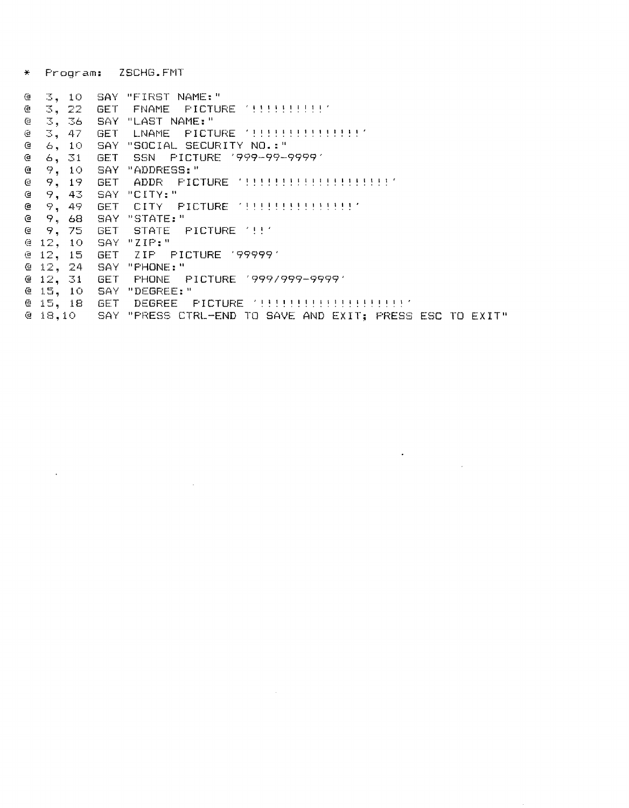\* Program: ZSCHG.FMT

 $\sim 10^{-11}$ 

 $\mathcal{L}^{\text{max}}_{\text{max}}$  and  $\mathcal{L}^{\text{max}}_{\text{max}}$ 

| e                           | 3, 10      |            | SAY "FIRST NAME:"                                        |
|-----------------------------|------------|------------|----------------------------------------------------------|
| ē                           | 3, 22      | -GE T      | FNAME PICTURE (!!!!!!!!!!!                               |
| $\mathbb{G}% _{\mathbb{Z}}$ | 3, 36      |            | " SAY "LAST NAME:                                        |
| ïФ                          | 3, 47      | <b>GET</b> | LNAME PICTURE '!!!!!!!!!!!!!!!                           |
| G.                          | 6.10       | -SAY       | "SOCIAL SECURITY NO.:"                                   |
| ₫                           | 6, 31      | <b>GET</b> | SSN PICTURE '999-99-9999'                                |
| ఆ                           | 9, 10      | -SAY I     | "ADDRESS:"                                               |
| e                           | 9, 19      | GET.       | ADDR PICTURE '!!!!!!!!!!!!!!!!                           |
| ∉                           | 9,43       | 'SAY       | "CITY:"                                                  |
| e                           | 9, 49      | GET.       | CITY PICTURE '!!!!!!!!!!!!!!!!                           |
| @.                          | 9, 68      | SAY        | "STATE:"                                                 |
| G.                          | 9, 75      | <b>GET</b> | STATE PICTURE '!!'                                       |
|                             | @12,10     | - SAY      | "ZIP:"                                                   |
|                             | $e$ 12, 15 | <b>GET</b> | ZIP PICTURE 1999991                                      |
|                             | $Q$ 12, 24 | -SAY       | "PHONE:"                                                 |
|                             | @12,31     | -GET       | - PHONE - PICTURE 1999/999-99991                         |
|                             | @15,10     | - SAY      | "DEGREE:"                                                |
|                             | @15, 18    | 6ET.       |                                                          |
|                             | @18,10     |            | SAY "PRESS CTRL-END TO SAVE AND EXIT; PRESS ESC TO EXIT" |

 $\sim$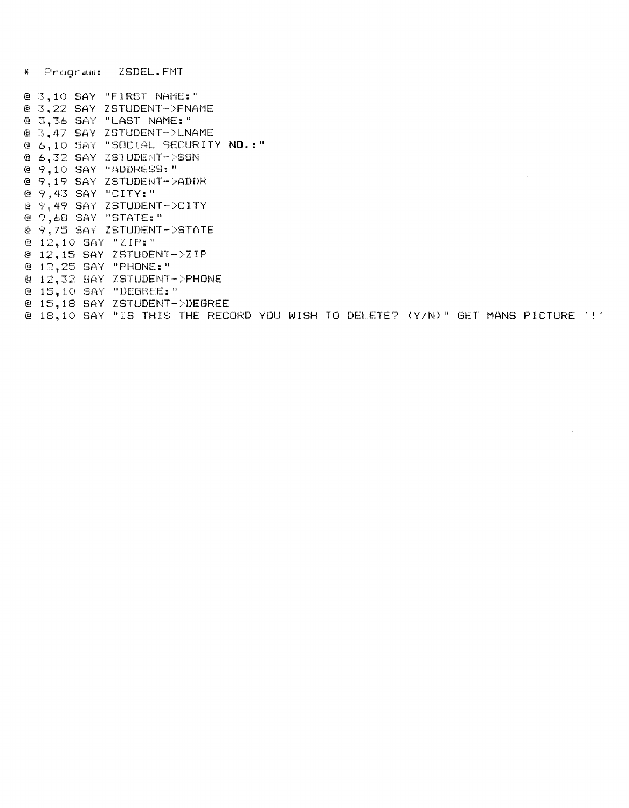\* Program: ZSDEL.FMT

@ 3,10 SAY "FIRST NAME:" @ 3,22 SAY ZSTUDENT->FNAME @ 3,36 SAY "LAST NAME:" @ 3.47 SAY ZSTUDENT->LNAME @ 6,10 SAY "SOCIAL SECURITY NO.:" @ 6,32 SAY ZSTUDENT->SSN @ 9,10 SAY "ADDRESS:" @ 9,19 SAY ZSTUDENT->ADDR @ 9.43 SAY "CITY:" @ 9,49 SAY ZSTUDENT->CITY @ 9,68 SAY "STATE:" @ 9.75 SAY ZSTUDENT->STATE @ 12,10 SAY "ZIP:" @ 12,15 SAY ZSTUDENT->ZIP @ 12,25 SAY "FHONE:" @ 12,32 SAY ZSTUDENT->PHONE @ 15,10 SAY "DEGREE:" @ 15,18 SAY ZSTUDENT->DEGREE

@ 18,10 SAY "IS THIS THE RECORD YOU WISH TO DELETE? (Y/N)" GET MANS PICTURE '!'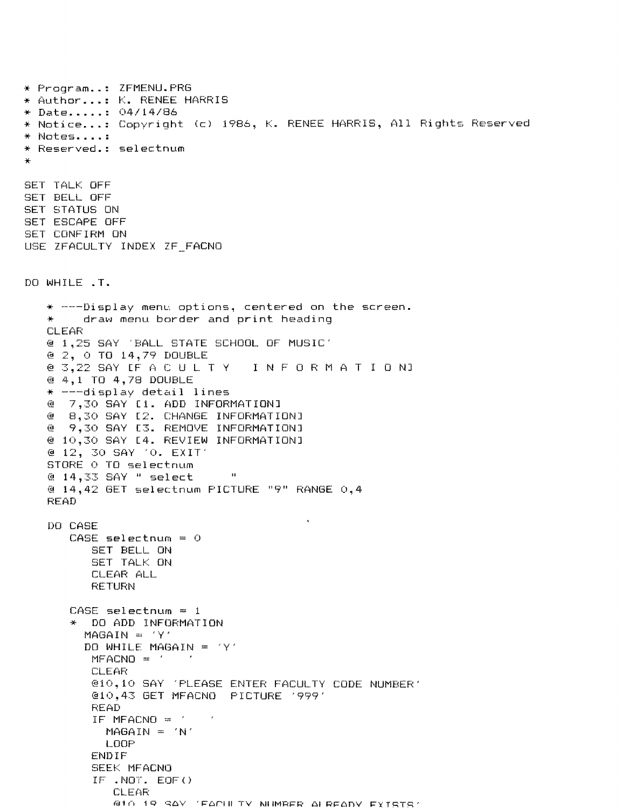\* Program .. : ZFMENU.PRG \* Author ... : K. RENEE HARRIS \* Date ..... : 04/14/86 \* Notice ... : Copyright (c) 1986, K. RENEE HARRIS, All Rights Reserved \* Notes .... : \* Reserved.: selectnum \* SET TALK OFF SET BELL OFF SET STATUS ON SET ESCAPE OFF SET CONFIRM ON USE ZFACULTY INDEX ZF FACNO DO WHILE .T. \* ---Display menu options, centered on the screen. draw menu border and print heading **CLEAR** @ 1,25 SAY 'BALL STATE SCHOOL OF MUSIC' @ 2, 0 TO 14,79 DOUBLE @ 3,22 SAY [F A C U L T Y I N FOR MAT ION] @ 4,1 TO 4,78 DOUBLE  $*$  ---display detail lines @ 7,30 SAY [1. ADD INFORMATION] @ 8,30 SAY [2. CHANGE INFORMATION] @ 9,30 SAY [3. REMOVE INFORMATION] @ 10,30 SAY [4. REVIEW INFORMATION] @ 12, 30 SAY '0. EXIT' STORE 0 TO selectnum @ 14,33 SAY " select " @ 14,42 GET selectnum PICTURE "9" RANGE 0,4 READ DO CASE  $CASE$  selectnum =  $O$ SET BELL ON SET TALK ON CLEAR ALL **RETURN**  $CASE$  selectnum = 1 \* DO ADD INFORMATION  $MAGAIN = 'Y'$ DO WHILE MAGAIN =  $'Y'$  $MFACNO = '$ CLEAR @10,10 SAY 'PLEASE ENTER FACULTY CODE NUMBER' @10,43 GET MFACNO PICTURE '999' READ IF MFACNO  $=$  '  $\sim$   $\epsilon$  $MAGAIN = 'N'$ LOOP ENDIF SEEK MFACNO IF. NOT. EOF ( ) **CLEAR**  $610$  19 SAV (FAPHETY NUMBER ALBEADY EXTETC: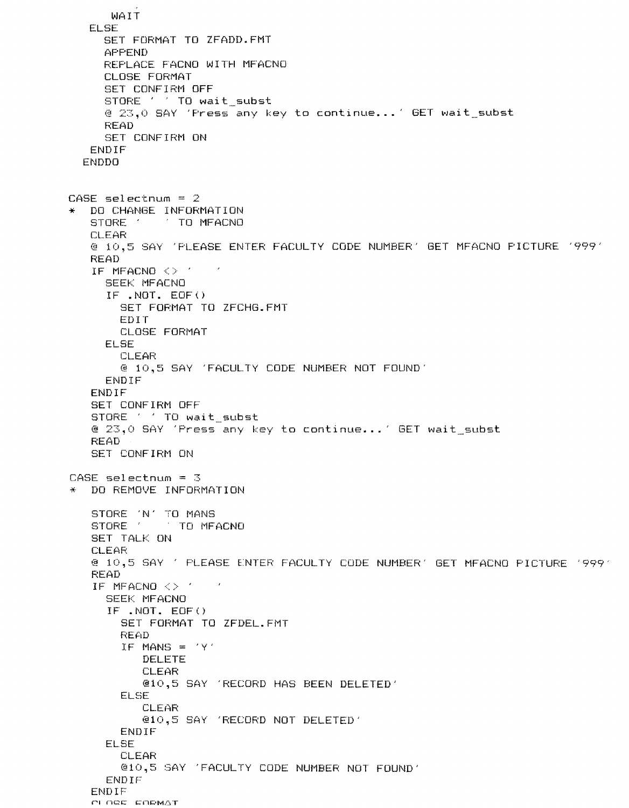```
WAIT
   ELSE 
     SET FORMAT TO ZFADD.FMT 
     APPEND 
     REPLACE FACNO WITH MFACNO 
     CLOSE FORMAT 
     SET CONFIRM OFF 
     STORE ' ' TO wait subst
     @ 23,0 SAY 'Press any key to continue ... ' GET wait_subst 
     READ
     SET CONFIRM ON 
   ENDIF 
  ENDDO 
CASE selectnum = 2 
* DO CHANGE INFORMATION 
   STORE ' TO MFACNO
   CLEAR 
   @ 10,5 SAY 'PLEASE ENTER FACULTY CODE NUMBER' GET MFACNO PICTURE '999' 
   READ 
   IF MFACNO <> ' 
     SEEK MFACNO 
     IF .NOT. EOF() 
       SET FORMAT TO ZFCHG.FMT 
       EDIT 
       CLOSE FORMAT 
     ELSE 
       CLEAR 
       @ 10,5 SAY 'FACULTY CODE NUMBER NOT FOUND' 
     ENDIF 
   ENDIF 
   SET CONFIRM OFF 
   STORE ' ' TO wait_subst
   @ 23,0 SAY 'Press any key to continue ... ' GET wait_subst 
   READ 
   SET CONFIRM ON 
CASE selectnum = 3 
* DO REMOVE INFORMATION 
   STORE 'N' TO MANS 
   STORE ' TO MFACNO
   SET TALK ON
   CLEAR 
   @ 10,5 SAY' PLEASE E:NTER FACULTY CODE NUMBER' GET MFACNO PICTURE '999' 
   READ 
   IF MFACNO <> 
     SEEK MFACNO 
     IF .NOT. EOF() 
       SET FORMAT TO ZFDEL.FMT 
       READ 
       IF MANS = 'Y' 
          DELETE 
           CLEAR 
          @10,5 SAY 'RECORD HAS BEEN DELETED' 
       ELSE 
          CLEAR 
          @10,5 SAY 'RECORD NOT DELETED' 
       ENDIF 
     ELSE 
       CLEAR 
       @10,5 SAY 'FACULTY CODE NUMBER NOT FOUND' 
     ENDIF 
   ENDIF OLOGE EORMAT
```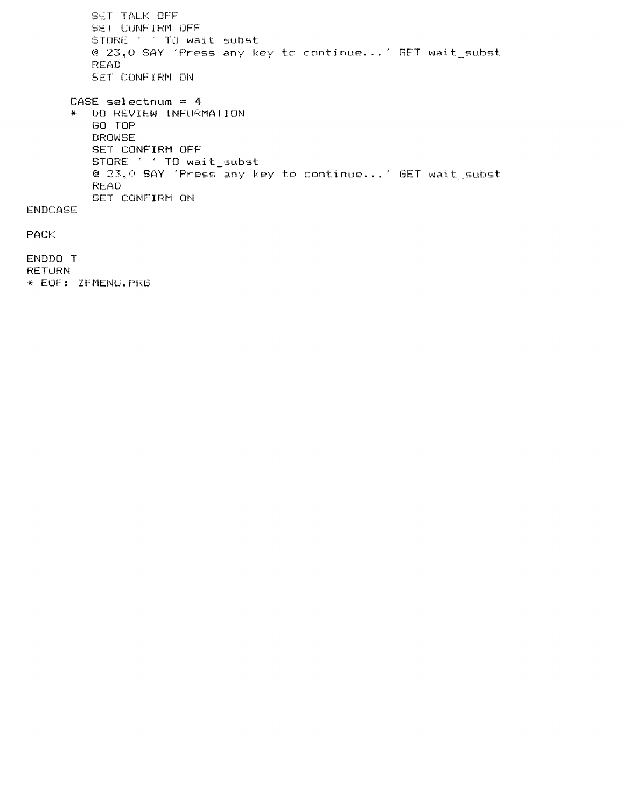SET TALK OFF SET CONFIRM OFF  $STORE \t1 T0 wait\_subst$ @ 23,0 SAY 'Press any key to continue ... ' GET wait\_subst READ SET CONFIRM ON CASE selectnum = 4 \* DO REVIEW INFORMATION GO TOP ENDCASE PACK ENDDO T **RETURN** BROWSE SET CONFIRM OFF STORE ' ' TO wait\_subst @ 23,0 SAY 'Press any key to continue ... ' GET wait\_subst READ SET CONFIRM ON \* EOF: ZFMENU.PRG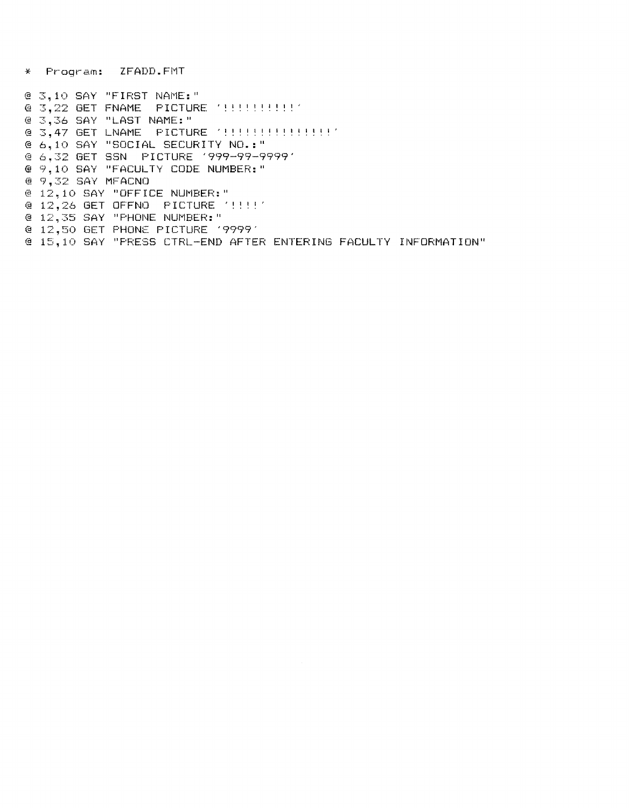\* Program: ZFADD.FMT

@ 3.10 SAY "FIRST NAME:"  $\theta$  3,36 SAY "LAST NAME:" @ 6,10 SAY "SOCIAL SECURITY NO.:" @ 6,32 GET SSN PICTURE '999-99-9999' @ 9.10 SAY "FACULTY CODE NUMBER:" @ 9,32 SAY MFACNO @ 12,10 SAY "OFFICE NUMBER:" @ 12,26 GET OFFNO PICTURE "!!!!" @ 12,35 SAY "PHONE NUMBER:" @ 12,50 GET PHONE PICTURE '9999' @ 15,10 SAY "PRESS CTRL-END AFTER ENTERING FACULTY INFORMATION"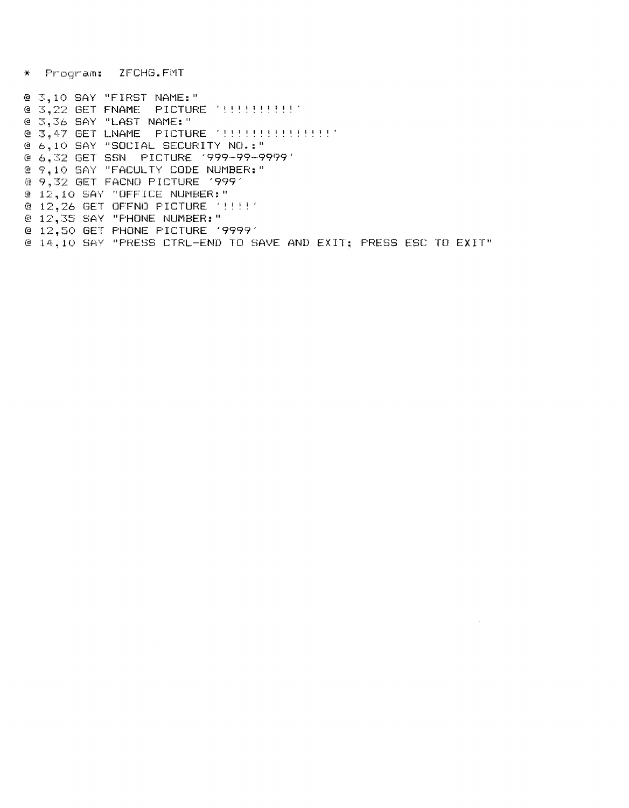\* Program: ZFCHG.FMT

@ 3,10 SAY "FIRST NAME:" @ 3,22 GET FNAME PICTURE '!!!!!!!!!!' @ 3,36 SAY "LAST NAME:" @ 6.10 SAY "SOCIAL SECURITY NO.:" @ 6,32 GET SSN PICTURE '999-99-9999' @ 9,10 SAY "FACULTY CODE NUMBER:" @ 9,32 GET FACNO PICTURE '999' @ 12,10 SAY "OFFICE NUMBER:" @ 12,26 GET OFFNO PICTURE '!!!!' @ 12,35 SAY "PHONE NUMBER:" @ 12,50 GET PHONE PICTURE '9999' @ 14,10 SAY "PRESS CTRL-END TO SAVE AND EXIT: PRESS ESC TO EXIT"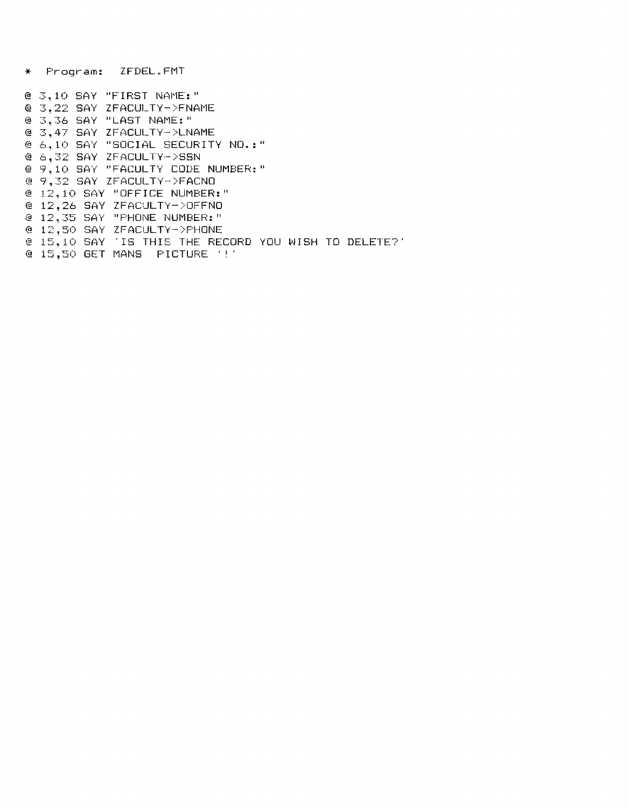\* Program: ZFDEL.FMT

@ 3,10 SAY "FIRST NAME:" @ 3.22 SAY ZFACULTY->FNAME @ 3,36 SAY "LAST NAME:" @ 3.47 SAY ZFACULTY->LNAME @ 6,10 SAY "SOCIAL SECURITY NO.:" @ 6,32 SAY ZFACULTY->SSN @ 9,10 SAY "FACULTY CODE NUMBER:" @ 9,32 SAY ZFACULTY->FACNO @ 12,10 SAY "OFFICE NUMBER:"  $(4.12, 26.$  SAY ZFACULTY->OFFNO @ 12,35 SAY "FHONE NUMBER:" @ 12,50 SAY ZFACULTY->PHONE @ 15,10 SAY 'IS THIS THE RECORD YOU WISH TO DELETE?'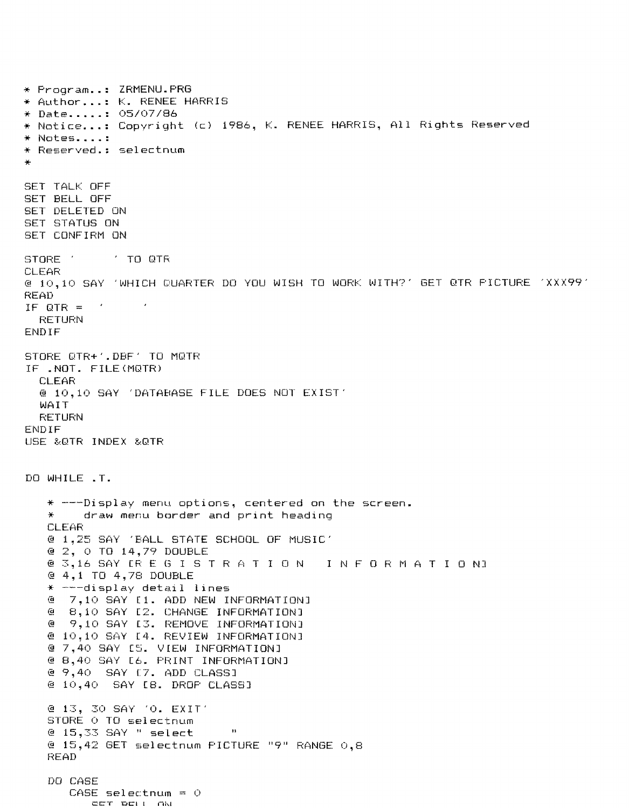\* Program .. : ZRMENU.PRG \* Author ... : K. RENEE HARRIS \* Date ..... : 05/07/86 \* Notice ... : Copyright (c) 1986, K. RENEE HARRIS, All Rights Reserved \* Notes .... : \* Reserved.: selectnum \* SET TALK OFF SET BELL OFF SET DELETED ON SET STATUS ON SET CONFIRM ON ~3TORE '  $\pm$  TO QTR CLEAR @ 10,10 SAY 'WHICH QUARTER DO YOU WISH TO WORK WITH?' GET OTR PICTURE 'XXX99' READ  $\mathcal{L} \in \mathcal{L}$ IF OTR  $=$ **RETURN** ENDIF STORE OTR+'.DBF' TO MOTR IF .NOT. FILE(MOTR) CLEAR @ 10,10 SAY 'DATA8ASE FILE DOES NOT EXIST' \.>JAIT RETURN ENDIF USE &OTR INDEX &OTR DO WHILE .T.  $*$  ---Display menu options, centered on the screen. \* draw menu border and print heading CLEAR @ 1,25 SAY 'BALL STATE SCHOOL OF MUSIC' @ 2, 0 TO 14,79 DOUBLE @ 2,0 TO 14,79 DODBLE<br>@ 3,16 SAY ERE GISTRATION INFORMATION<mark>I</mark> @ 4,1 TO 4,78 DOUBLE  $*$  ---display detail lines @ 7,10 SAY [1. ADD NEW INFORMATION] @ 8,10 SAY [2. CHANGE INFORMATION] @ 9,10 SAY [3. REMOVE INFORMATION] @ 10,10 SAY [4. REVIEW INFORMATION] @ 7,40 SAY [5. VIEW INFORMATION] @ 8,40 SAY [6. PRINT INFORMATION] @ 9,40 SAY [7. ADD CLASS] @ 10,40 SAY [8. DROP CLASS] @ 13, 30 SAY '0. EXIT' STORE 0 TO selectnum  $@15,33$  SAY " select  $"$  $(4.15, 42)$  GET selectnum PICTURE "9" RANGE  $(0.8)$ READ DO CASE  $CASE$  selectrum =  $O$ CET DELL AN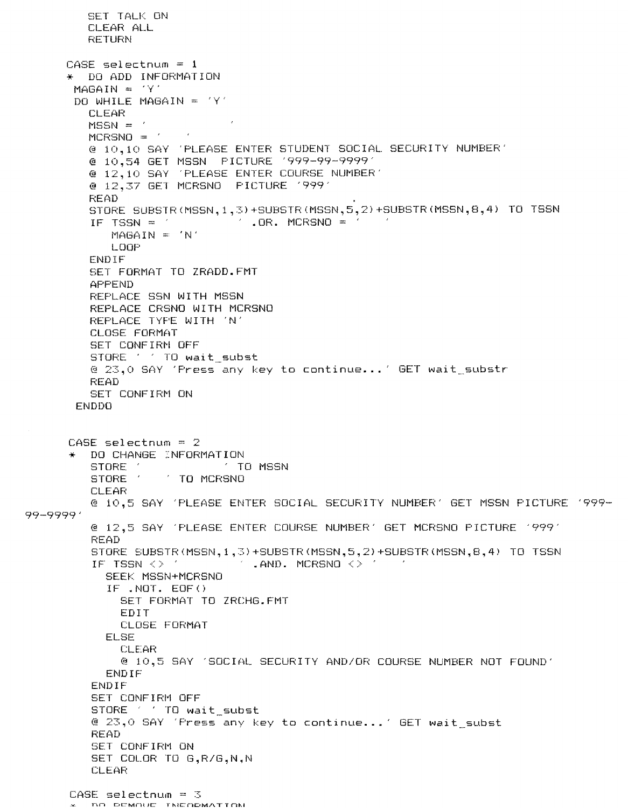```
SET TALK ON
        CLEAR ALL
        RETURN
     CASE selectnum = 1* DO ADD INFORMATION
      MAGAIN = 'Y'DO WHILE MAGAIN = 'Y'CLEAR
        MSSN =MCRSNO =@ 10,10 SAY 'PLEASE ENTER STUDENT SOCIAL SECURITY NUMBER'
        @ 10,54 GET MSSN PICTURE '999-99-9999'
        @ 12,10 SAY 'PLEASE ENTER COURSE NUMBER'
        @ 12,37 GET MCRSNO PICTURE '999'
        READ
        STORE SUBSTR(MSSN, 1, 3) +SUBSTR(MSSN, 5, 2) +SUBSTR(MSSN, 8, 4) TO TSSN
         IF TSSN = \angle . OR. MCRSNO = \angleMAGAIN = 'N'LOOP
        ENDIF
        SET FORMAT TO ZRADD.FMT
         APPEND
        REPLACE SSN WITH MSSN
         REPLACE CRSNO WITH MCRSNO
        REPLACE TYPE WITH 'N'
         CLOSE FORMAT
         SET CONFIRM OFF
         STORE ' ' TO wait subst
         @ 23,0 SAY 'Press any key to continue...' GET wait_substr
         READ
         SET CONFIRM ON
      ENDDO
      CASE selectnum = 2* DO CHANGE INFORMATION
         STORE 1
                          TO MSSN
         STORE ' ' TO MCRSNO
         CLEAR
         @ 10.5 SAY 'PLEASE ENTER SOCIAL SECURITY NUMBER' GET MSSN PICTURE '999-
99-9999'
         @ 12,5 SAY 'PLEASE ENTER COURSE NUMBER' GET MCRSNO PICTURE '999'
         READ
         STORE SUBSTR (MSSN, 1, 3) +SUBSTR (MSSN, 5, 2) +SUBSTR (MSSN, 8, 4) TO TSSN
         IF TSSN <> ' . AND. MCRSNO <> '
           SEEK MSSN+MCRSNO
           IF .NOT. EOF()
             SET FORMAT TO ZRCHG.FMT
             EDIT
             CLOSE FORMAT
           ELSE
             CLEAR
             @ 10,5 SAY 'SOCIAL SECURITY AND/OR COURSE NUMBER NOT FOUND'
           ENDIF
         ENDIF
         SET CONFIRM OFF
         STORE ' ' TO wait_subst
         @ 23,0 SAY 'Fress any key to continue...' GET wait_subst
         READ
         SET CONFIRM ON
         SET COLOR TO G.R/G.N.N
         CLEAR
      CASE selectnum = 3C. BO DEMOUE TNEODMATION
```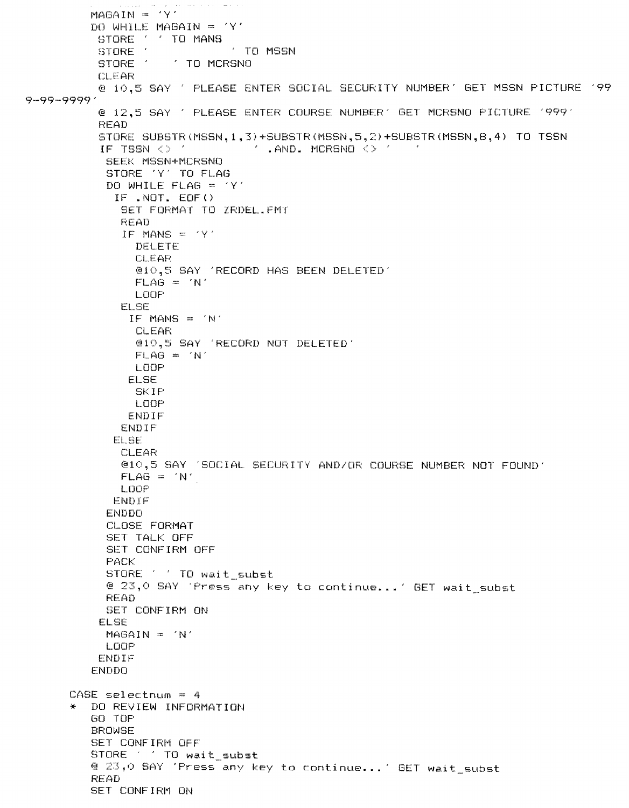```
MAGAIN = 'Y'DO WHILE MAGAIN = 'Y'9-99-9999' 
          STORE ' ' TO MANS
          STORE ' TO MSSN<br>STORE ' ' TO MCRSNO
                      ' TO MCRSNO
          CLEAR 
          @ 10,5 SAY PLEASE ENTER SOCIAL SECURITY NUMBER' GET MSSN PICTURE '99 
          @ 12,5 SAY PLEASE ENTER COURSE NUMBER' GET MCRSNO PICTURE '999' 
          READ 
          STORE SUBSTR(MSSN,1,3)+SUBSTR(MSSN,5,2)+SUBSTR(MSSN,B,4) TO TSSN 
           IF TSSN \Diamond ' \Box . AND. MCRSNO \Diamond '
           SEEK MSSN+MCRSNO 
           STORE 'Y' TO FLAG 
           DO WHILE FLAG = 'Y' 
             IF .NOT. EOF() 
              SET FORMAT TO ZRDEL.FMT 
              READ 
              IF MANS = 'Y'DELETE 
                CLEAR 
                @10,5 SAY 'RECORD HAS BEEN DELETED' 
                FLAG = 'N'LOOP 
              ELSE 
               IF MANS = 'N' 
                CLEAR 
                @10,5 SAY 'RECORD NOT DELETED' 
                FLAG = 'N'LOOP 
               ELSE 
                SKIP 
                LOOP 
               ENDIF 
              ENDIF 
             ELSE 
              CLEAR 
              @10,5 SAY 'SOCIAL SECURITY AND/OR COURSE NUMBER NOT FOUND' 
              FLAG = 'N'LOOP 
             ENDIF 
           ENDDO 
            CLOSE FORMAT 
            SET TALK OFF
           SET CONFIRM OFF 
           PACK 
           STORE ' ' TO wait_subst
           @ 23,0 SAY 'Press any key to continue ... ' GET wait_subst 
           READ 
           SET CONFIRM ON 
          ELSE 
           MAGAIN = 'N' 
           LOOP 
          ENDIF 
         ENDDO 
      CASE selectnum = 4 
      * DO REVIEW INFORMATION 
         GO TOP 
         BROWSE 
         SET CONFIRM OFF 
         STORE . . TO wait_subst
         @ 23,0 SAY 'Press any key to continue ... ' GET wait_subst 
         READ 
         SET CONFIRM ON
```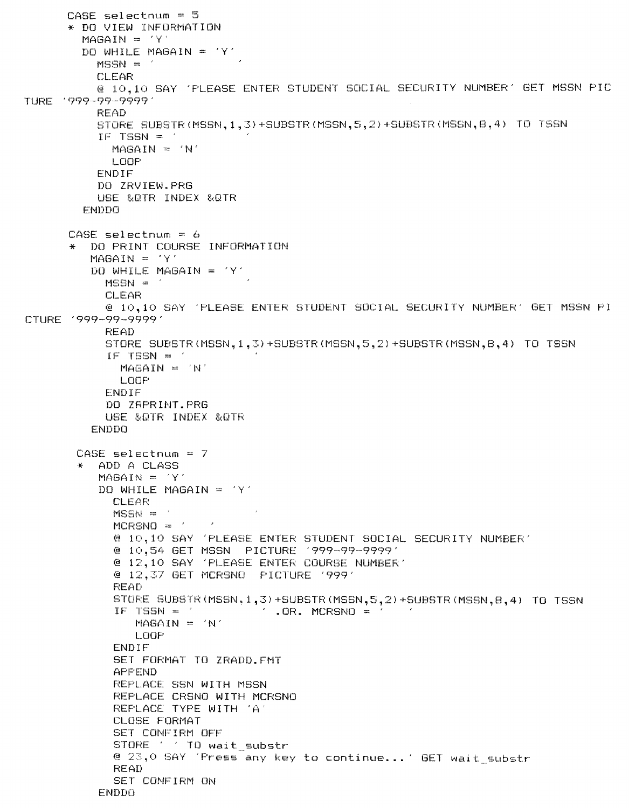```
CASE selectnum = 5* DO VIEW INFORMATION
        MAGAIN = 'Y'DO WHILE MAGAIN = 'Y'
          MSSN =CLEAR
          @ 10,10 SAY 'PLEASE ENTER STUDENT SOCIAL SECURITY NUMBER' GET MSSN PIC
TURE '999-99-9999'
          READ
          STORE SUBSTR (MSSN, 1, 3) +SUBSTR (MSSN, 5, 2) +SUBSTR (MSSN, 8, 4) TO TSSN
          IF TSSN = 'MASAIN = 'N'LOOP
          ENDIF
          DO ZRVIEW.PRG
          USE &OTR INDEX &OTR
        ENDDO
      CASE selectnum = 6DO PRINT COURSE INFORMATION
         MAGAIN = 'Y'DO WHILE MAGAIN = 'Y'
           MSSN =CLEAR
           @ 10.10 SAY 'PLEASE ENTER STUDENT SOCIAL SECURITY NUMBER' GET MSSN PI
CTURE '999-99-9999'
           READ
           STORE SUBSTR (MSSN, 1, 3) +SUBSTR (MSSN, 5, 2) +SUBSTR (MSSN, 8, 4) TO TSSN
           IF TSSN = \primeMAGAIN = 'N'LOOP
           ENDIF
           DO ZRPRINT.PRG
           USE &QTR INDEX &QTR
         ENDDO
       CASE selectnum = 7ADD A CLASS
          MAGAIN = 'Y'DO WHILE MAGAIN = 'Y'
            CLEAR
            MSSN =MCRSNO = '\sim@ 10,10 SAY 'PLEASE ENTER STUDENT SOCIAL SECURITY NUMBER'
            @ 12,10 SAY 'PLEASE ENTER COURSE NUMBER'
            @ 12,37 GET MCRSNO PICTURE '999'
            READ
            STORE SUBSTR (MSSN, 1, 3) +SUBSTR (MSSN, 5, 2) +SUBSTR (MSSN, 8, 4) TO TSSN
                                \angle . OR. MCRSNO = \angleIF TSSN = \gammaMAGAIN = 'N'LOOP
            ENDIF
            SET FORMAT TO ZRADD.FMT
            APPEND
            REPLACE SSN WITH MSSN
            REPLACE CRSNO WITH MCRSNO
            REPLACE TYPE WITH 'A'
            CLOSE FORMAT
            SET CONFIRM OFF
            STORE ' ' TO wait_substr
            @ 23,0 SAY 'Press any key to continue...' GET wait_substr
            READ
            SET CONFIRM ON
          ENDDO
```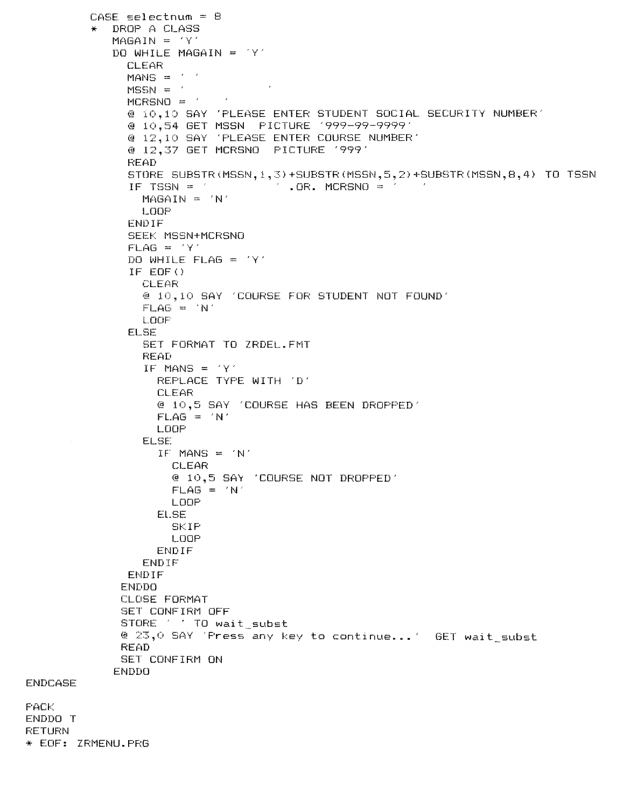```
CASE selectnum = BDROP A CLASS
         \frac{1}{2}MAGAIN = 'Y'DO WHILE MAGAIN = 'Y'
             CLEAR
             MANS = '\simMSSN =MCRSNO =\mathcal{F}@ 10,10 SAY 'PLEASE ENTER STUDENT SOCIAL SECURITY NUMBER'
              @ 12.10 SAY 'PLEASE ENTER COURSE NUMBER'
              @ 12,37 GET MCRSNO PICTURE '999'
              READ
              STORE SUBSTR(MSSN, 1, 3) +SUBSTR(MSSN, 5, 2) +SUBSTR(MSSN, 8, 4) TO TSSN
              IF TSSN = \angle .0R. MCRSNO = \angle .4
               MAGAIN = 'N'LOOP
              ENDIF
              SEEK MSSN+MCRSNO
              FLAG = 'Y'DO WHILE FLAG = 'Y'IF EOF()CLEAR
                @ 10,10 SAY 'COURSE FOR STUDENT NOT FOUND'
                FLAG = 'N'LOOF
              ELSE
                SET FORMAT TO ZRDEL.FMT
                READ
                IF MANS = 'Y'REPLACE TYPE WITH 'D'
                 CLEAR
                 @ 10,5 SAY 'COURSE HAS BEEN DROPPED'
                  FLAG = 'N'LOOP
                ELSE
                  IF MANS = 'N'CLEAR
                    @ 10,5 SAY 'COURSE NOT DROPPED'
                   FLAG = 'N'LOOP
                 ELSE
                   SKIP
                   LOOP
                 ENDIF
                ENDIF
             ENDIF
             ENDDO
             CLOSE FORMAT
             SET CONFIRM OFF
             STORE ' ' TO wait_subst
             @ 23,0 SAY 'Press any key to continue...' GET wait_subst
             READ
             SET CONFIRM ON
            ENDDO
ENDCASE
ENDDO T
RETURN
* EOF: ZRMENU. PRG
```
**FACK**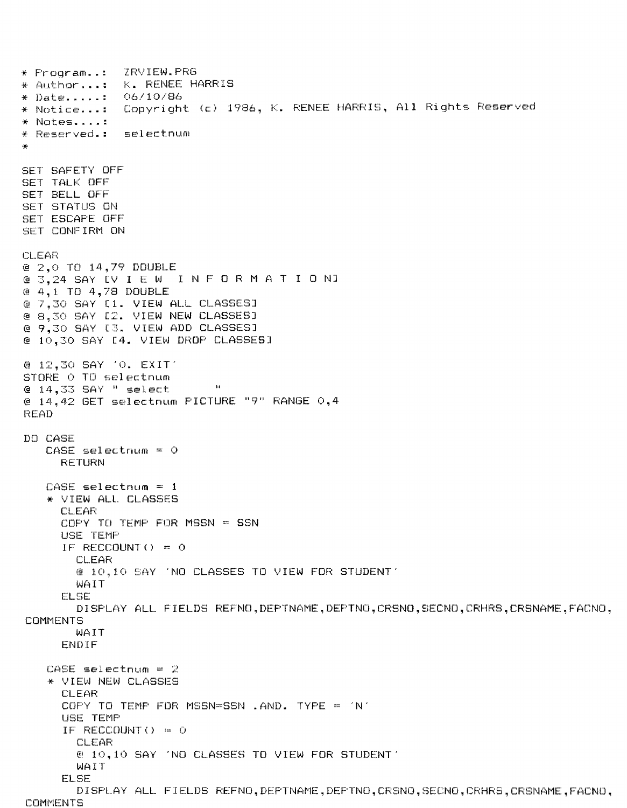\* Program... ZRVIEW.PRG \* Author...: K. RENEE HARRIS  $\star$  Date......  $-06/10/86$ Copyright (c) 1986, K. RENEE HARRIS, All Rights Reserved \* Notice...: \* Notes..... \* Reserved.: selectnum SET SAFETY OFF **SET TALK OFF** SET BELL OFF **SET STATUS ON** SET ESCAPE OFF SET CONFIRM ON **CLEAR** @ 2,0 TO 14,79 DOUBLE @ 3,24 SAY [V I E W INFORMATION3  $4,1$  TO  $4,78$  DOUBLE @ 7,30 SAY [1. VIEW ALL CLASSES] @ 8.30 SAY [2. VIEW NEW CLASSES] @ 9,30 SAY [3. VIEW ADD CLASSES] @ 10.30 SAY E4. VIEW DROP CLASSESI @ 12,30 SAY '0. EXIT' STORE O TO selectnum @ 14,33 SAY " select  $\mathbf{H}$ @ 14,42 GET selectnum PICTURE "9" RANGE 0,4 READ DO CASE  $CASE$  selectnum =  $0$ **RETURN**  $CASE$  selectnum =  $1$ \* VIEW ALL CLASSES **CLEAR** COFY TO TEMP FOR MSSN = SSN USE TEMP IF RECCOUNT () =  $\circ$ **CLEAR** @ 10,10 SAY 'NO CLASSES TO VIEW FOR STUDENT' WAIT ELSE DISPLAY ALL FIELDS REFNO, DEPTNAME, DEPTNO, CRSNO, SECNO, CRHRS, CRSNAME, FACNO, COMMENTS WAIT ENDIF  $CASE = selectnum = 2$ \* VIEW NEW CLASSES **CLEAR** COPY TO TEMP FOR MSSN=SSN .AND. TYPE = 'N' USE TEMP IF RECCOUNT() =  $O$ **CLEAR** @ 10,10 SAY 'NO CLASSES TO VIEW FOR STUDENT' **WAIT ELSE** DISPLAY ALL FIELDS REFNO, DEFTNAME, DEFTNO, CRSNO, SECNO, CRHRS, CRSNAME, FACNO, **COMMENTS**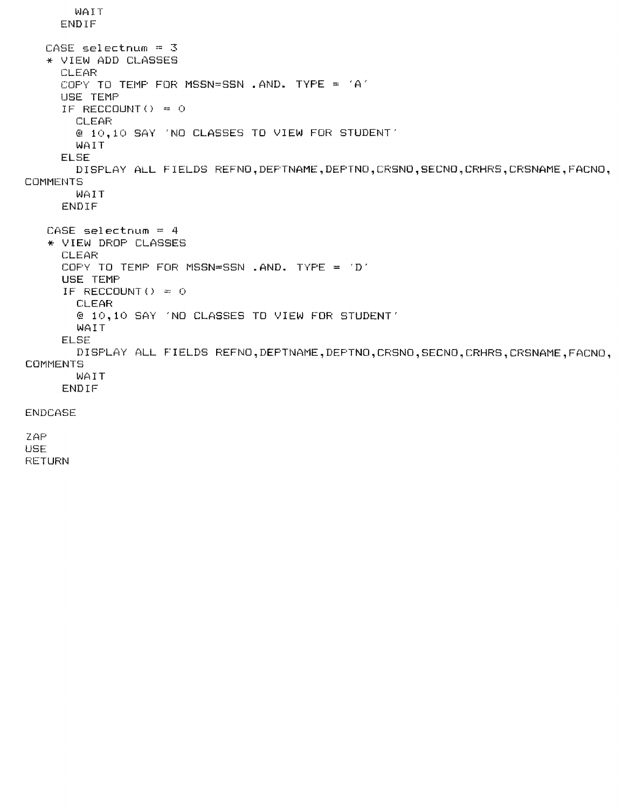```
WAIT 
     ENDIF 
  CASE selectnum = 3* VIEW ADD CLASSES 
     CLEAR 
     COPY TO TEMP FOR MSSN=SSN .AND. TYPE = 'A'USE TEMP 
     IF RECCOUNT() = \circCLEAR 
       @ 10,10 SAY 'NO CLASSES TO VIEW FOR STUDENT' 
       WAIT 
     ELSE 
       DISPLAY ALL FIELDS REFNO,DEPTNAME,DEPTNO,CRSNO,SECNO,CRHRS,CRSNAME,FACNO, 
COMMENTS
       WAIT 
     ENDIF 
   CASE selectnum = 4 
   * VIEW DROP CLASSES 
     CLEAR 
     COPY TO TEMP FOR MSSN=SSN .AND. TYPE = 'D' 
     USE TEMP 
     IF RECCOUNT() = \circCLEAR 
       @ 10,10 SAY 'NO CLASSES TO VIEW FOR STUDENT' 
       WAIT 
     ELSE 
       DISPLAY ALL FIELDS REFNO,DEPTNAME,DEPTNO,CRSNO,SECNO,CRHRS,CRSNAME,FACNO, 
COMMENTS
       WAIT 
     ENDIF 
ENDCASE 
ZAP 
USE 
RETURN
```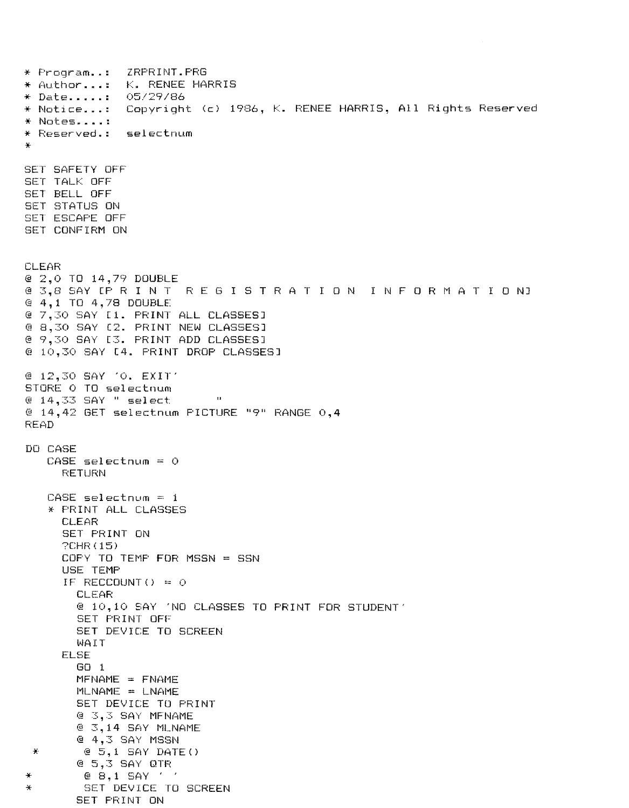ZRPRINT.PRG \* Program..: \* Author...: K. RENEE HARRIS \* Date.....: 05/29/86 Copyright (c) 1986, K. RENEE HARRIS, All Rights Reserved \* Notice...: \* Notes....: \* Reserved.: selectnum SET SAFETY OFF **SET TALK OFF** SET BELL OFF SET STATUS ON SET ESCAPE OFF SET CONFIRM ON **CLEAR** @ 2,0 TO 14,79 DOUBLE @ 3.8 SAY LP R I N T REGISTRATION INFORMATION] @ 4,1 TO 4,78 DOUBLE @ 7.30 SAY E1. PRINT ALL CLASSES] @ 8,30 SAY C2. PRINT NEW CLASSES1 @ 9.30 SAY E3. PRINT ADD CLASSES1 @ 10,30 SAY [4. PRINT DROP CLASSES] @ 12,30 SAY 'O. EXIT' STORE O TO selectnum  $@14,33$  SAY " select  $\mathbf{B}$ @ 14,42 GET selectnum PICTURE "9" RANGE 0,4 **READ** DO CASE  $CASE$  selectnum = 0 RETURN  $CASE$  selectnum = 1 \* PRINT ALL CLASSES **CLEAR** SET PRINT ON **?CHR(15)** COPY TO TEMP FOR MSSN = SSN USE TEMP IF RECCOUNT () =  $\circ$ **CLEAR** @ 10,10 SAY 'NO CLASSES TO PRINT FOR STUDENT' SET PRINT OFF SET DEVICE TO SCREEN WAIT ELSE  $GO_1$  $MFNAME = FNAME$  $MLMAME = LMAME$ SET DEVICE TO PRINT @ 3,3 SAY MFNAME @ 3,14 SAY MLNAME @ 4,3 SAY MSSN  $\oplus$  5,1 SAY DATE()  $\pm$ @ 5,3 SAY QTR @ 8,1 SAY ' '  $\Delta t$ SET DEVICE TO SCREEN SET PRINT ON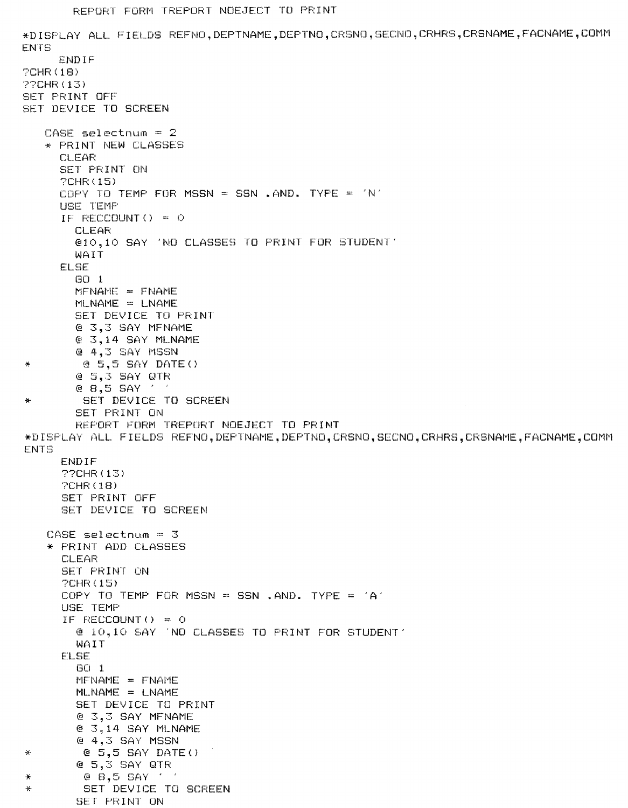\*DISPLAY ALL FIELDS REFNO, DEPTNAME, DEPTNO, CRSNO, SECNO, CRHRS, CRSNAME, FACNAME, COMM **ENTS** ENDIF  $?CHR(18)$ **??CHR(13)** SET PRINT OFF SET DEVICE TO SCREEN CASE selectnum =  $2$ \* PRINT NEW CLASSES **CLEAR** SET PRINT ON **PCHR(15)** COPY TO TEMP FOR MSSN = SSN .AND. TYPE = 'N' USE TEMP IF RECCOUNT () =  $\circ$ **CLEAR** @10,10 SAY 'NO CLASSES TO PRINT FOR STUDENT' **WAIT** ELSE  $GO<sub>1</sub>$  $MFMAME = FMAME$  $MLNAME = LMAME$ SET DEVICE TO PRINT @ 3.3 SAY MFNAME @ 3,14 SAY MLNAME @ 4,3 SAY MSSN  $C = 5,5$  SAY DATE() @ 5,3 SAY QTR  $e$   $B,5$   $SAY$ **Contract** SET DEVICE TO SCREEN 曇 SET PRINT ON REPORT FORM TREPORT NOEJECT TO PRINT \*DISPLAY ALL FIELDS REFNO, DEPTNAME, DEPTNO, CRSNO, SECNO, CRHRS, CRSNAME, FACNAME, COMM **ENTS** ENDIF 220HR (13)  $PCHR(18)$ SET PRINT OFF SET DEVICE TO SCREEN  $CASE$  selectnum =  $3$ \* PRINT ADD CLASSES **CLEAR** SET PRINT ON **?CHR(15)** COPY TO TEMP FOR MSSN = SSN , AND, TYPE =  $'A'$ USE TEMP IF RECCOUNT() =  $0$ @ 10.10 SAY 'NO CLASSES TO FRINT FOR STUDENT' WAIT **ELSE**  $GO<sub>1</sub>$  $MFNAME = FNAME$ MLNAME = LNAME SET DEVICE TO PRINT @ 3,3 SAY MFNAME @ 3,14 SAY MLNAME @ 4,3 SAY MSSN  $@$  5,5 SAY DATE()  $Q$  5,3 SAY QTR  $@ 8,5$  SAY  $'$   $'$ SET DEVICE TO SCREEN  $\frac{1}{2}$ SET PRINT ON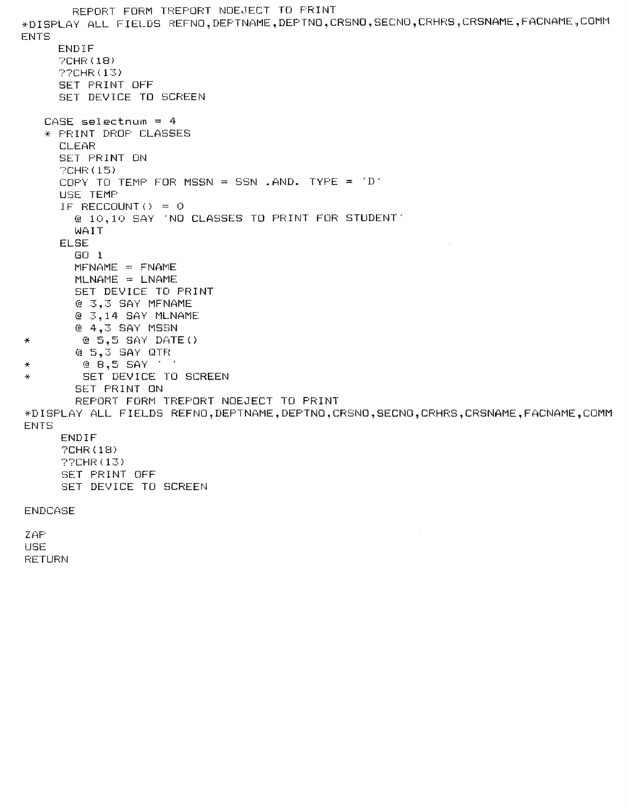```
REPORT FORM TREPORT NOEJECT TO PRINT
*DISPLAY ALL FIELDS REFNO, DEPTNAME, DEPTNO, CRSNO, SECNO, CRHRS, CRSNAME, FACNAME, COMM
ENTS
     ENDIF
     PCHR(18)22CHR (13)
     SET PRINT OFF
     SET DEVICE TO SCREEN
   CASE selectnum = 4
   * PRINT DROP CLASSES
     CLEAR
     SET PRINT ON
     PCHR(15)
     COPY TO TEMP FOR MSSN = SSN .AND. TYPE = 'D'
     USE TEMP
      IF RECCOUNT() = 0@ 10,10 SAY 'NO CLASSES TO PRINT FOR STUDENT'
        WAIT
     ELSE
        GO<sub>1</sub>MFNAME = FNAMEMLNAME = LNAME
        SET DEVICE TO PRINT
        @ 3,3 SAY MFNAME
        @ 3,14 SAY MLNAME
        @ 4.3 SAY MSSN
        @ 5,5 SAY DATE()
\frac{1}{\sqrt{2}}@ 5,3 SAY QTR
         @ 8,5 SAY ' '
\frac{1}{2}SET DEVICE TO SCREEN
\frac{1}{N}SET PRINT ON
        REPORT FORM TREPORT NOEJECT TO PRINT
*DISPLAY ALL FIELDS REFNO, DEPTNAME, DEPTNO, CRSNO, SECNO, CRHRS, CRSNAME, FACNAME, COMM
ENTS
      ENDIF
      ?CHR(18)
      ??CHR(13)
      SET PRINT OFF
      SET DEVICE TO SCREEN
ENDCASE
ZAP
USE
RETURN
```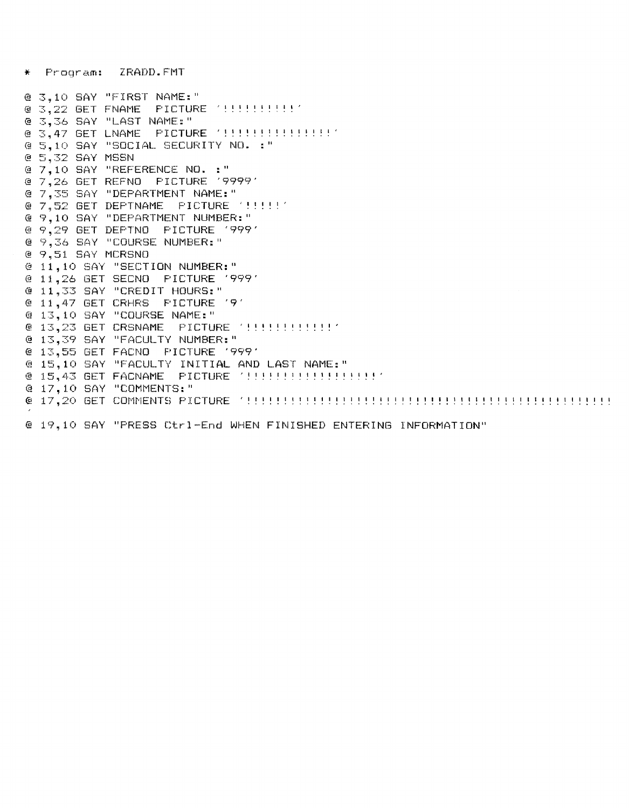ZRADD. FMT  $\star$  Prooram:

@ 3,10 SAY "FIRST NAME:" @ 3.36 SAY "LAST NAME:" @ 5,10 SAY "SOCIAL SECURITY NO. : " @ 5,32 SAY MSSN @ 7.10 SAY "REFERENCE NO. : " @ 7,26 GET REFNO PICTURE '9999' @ 7.35 SAY "DEPARTMENT NAME:" @ 9,10 SAY "DEPARTMENT NUMBER:" @ 9,29 GET DEPTNO PICTURE '999' @ 9,36 SAY "COURSE NUMBER:" @ 9,51 SAY MCRSNO @ 11,10 SAY "SECTION NUMBER:" @ 11,26 GET SECNO PICTURE '999' @ 11,33 SAY "CREDIT HOURS:" @ 11,47 GET CRHRS FICTURE '9' @ 13,10 SAY "COURSE NAME:" @ 13,39 SAY "FACULTY NUMBER:" @ 13,55 GET FACNO PICTURE '999' @ 15,10 SAY "FACULTY INITIAL AND LAST NAME:" @ 17,10 SAY "COMMENTS: " 

@ 19.10 SAY "PRESS Ctrl-End WHEN FINISHED ENTERING INFORMATION"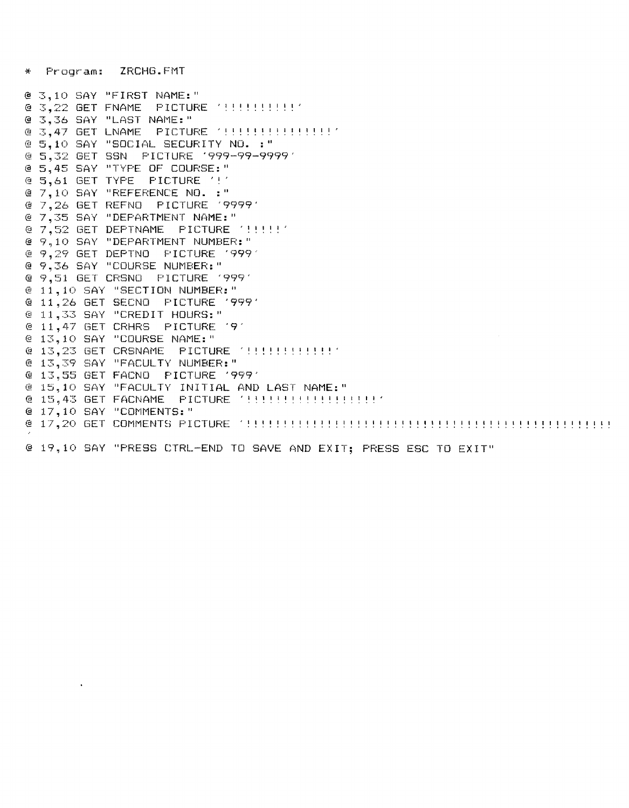ZRCHG.FMT **Program:** 

@ 3.10 SAY "FIRST NAME:" @ 3.36 SAY "LAST NAME:" @ 3.47 GET LNAME PICTURE '!!!!!!!!!!!!!!!!! @ 5.10 SAY "SOCIAL SECURITY NO. :" @ 5,32 GET SSN PICTURE '999-99-9999' @ 5,45 SAY "TYPE OF COURSE:" @ 5,61 GET TYPE PICTURE '!' @ 7,10 SAY "REFERENCE NO. :" @ 7,26 GET REFNO PICTURE '9999' @ 7.35 SAY "DEPARTMENT NAME:" @ 9,10 SAY "DEPARTMENT NUMBER:" @ 9,29 GET DEPTNO PICTURE 19991 @ 9,36 SAY "COURSE NUMBER:" @ 9,51 GET CRSNO PICTURE '999' @ 11,10 SAY "SECTION NUMBER:" @ 11,26 GET SECNO PICTURE '999' @ 11,33 SAY "CREDIT HOURS:" @ 11,47 GET CRHRS PICTURE '9' @ 13,10 SAY "COURSE NAME:" @ 13,39 SAY "FACULTY NUMBER:" @ 13,55 GET FACNO PICTURE '999' @ 15.10 SAY "FACULTY INITIAL AND LAST NAME:" @ 17,10 SAY "COMMENTS: " @ 19,10 SAY "PRESS CTRL-END TO SAVE AND EXIT; PRESS ESC TO EXIT"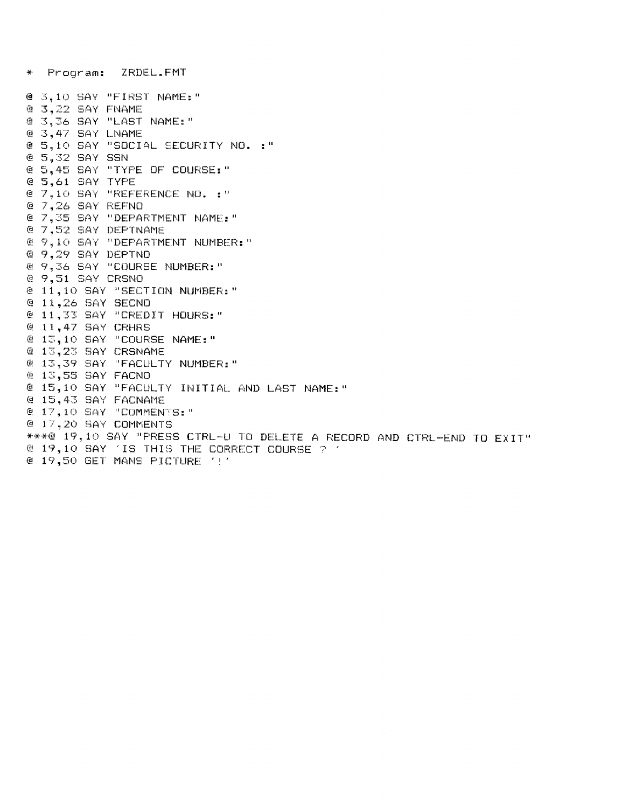@ 3,10 SAY "FIRST NAME:" @ 3,22 SAY FNAME @ 3.36 SAY "LAST NAME:" @ 3,47 SAY LNAME @ 5,10 SAY "SOCIAL SECURITY NO. :" @ 5,32 SAY SSN @ 5,45 SAY "TYPE OF COURSE:" @ 5,61 SAY TYPE @ 7,10 SAY "REFERENCE NO. :" @ 7.26 SAY REFNO @ 7,35 SAY "DEPARTMENT NAME:" @ 7,52 SAY DEPTNAME @ 9,10 SAY "DEPARTMENT NUMBER:" @ 9,29 SAY DEPTNO @ 9,36 SAY "COURSE NUMBER:" @ 9,51 SAY CRSNO @ 11,10 SAY "SECTION NUMBER:" @ 11,26 SAY SECNO @ 11,33 SAY "CREDIT HOURS:" @ 11,47 SAY CRHRS @ 13,10 SAY "COURSE NAME:" @ 13,23 SAY CRSNAME @ 13,39 SAY "FACULTY NUMBER:" @ 13,55 SAY FACNO @ 15,10 SAY "FACULTY INITIAL AND LAST NAME:" @ 15,43 SAY FACNAME @ 17,10 SAY "COMMENTS:" @ 17,20 SAY COMMENTS \*\*\*@ 19,10 SAY "PRESS CTRL-U TO DELETE A RECORD AND CTRL-END TO EXIT" @ 19,10 SAY 'IS THIS THE CORRECT COURSE ? ' @ 19,50 BET MANS PICTURE '!'

\* Program: ZRDEL.FMT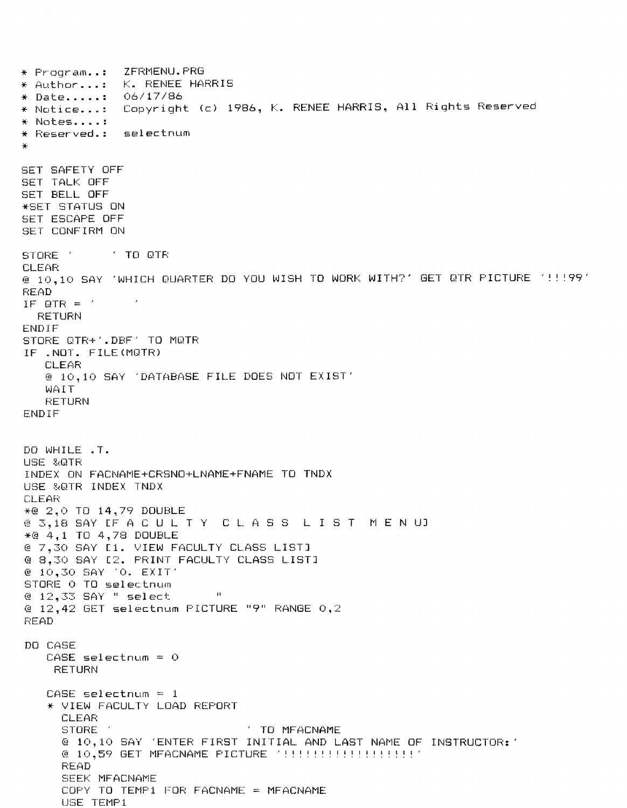$*$  Program... ZFRMENU.PRG \* Author...: K. RENEE HARRIS - 06/17/86  $\star$  Date...... \* Notice...: Copyright (c) 1986, K. RENEE HARRIS, All Rights Reserved  $*$  Notes..... \* Reserved.: selectnum **SET SAFETY OFF** SET TALK OFF SET BELL OFF \*SET STATUS ON SET ESCAPE OFF SET CONFIRM ON **TO OTR** STORE ' **CLEAR** @ 10,10 SAY 'WHICH QUARTER DO YOU WISH TO WORK WITH?' GET QTR PICTURE '!!! 99' **READ** IF QTR =  $'$ **RETURN** ENDIF STORE GTR+'.DBF' TO MOTR IF .NOT. FILE(MOTR) **CLEAR** @ 10,10 SAY 'DATABASE FILE DOES NOT EXIST' WAIT **RETURN** ENDIF DO WHILE .T. USE &QTR INDEX ON FACNAME+CRSNO+LNAME+FNAME TO TNDX USE &QTR INDEX TNDX CLEAR \*@ 2,0 TD 14,79 DOUBLE @ 3,18 SAY LF A C U L T Y C L A S S L I S T M E N UJ  $*@ 4.1$  TO 4,78 DOUBLE @ 7,30 SAY E1. VIEW FACULTY CLASS LISTI @ 8.30 SAY [2. FRINT FACULTY CLASS LIST] @ 10,30 SAY '0. EXIT' STORE O TO selectnum @ 12.33 SAY " select  $\blacksquare$ @ 12,42 GET selectnum PICTURE "9" RANGE 0,2 **READ** DO CASE  $CASE$  selectnum =  $O$ **RETURN**  $CASE$  selectnum = 1 \* VIEW FACULTY LOAD REPORT CLEAR TO MFACNAME STORE @ 10,10 SAY 'ENTER FIRST INITIAL AND LAST NAME OF INSTRUCTOR: ' @ 10.59 GET MFACNAME PICTURE '!!!!!!!!!!!!!!!!!!!!! **READ** SEEK MFACNAME COPY TO TEMP1 FOR FACNAME = MFACNAME USE TEMP1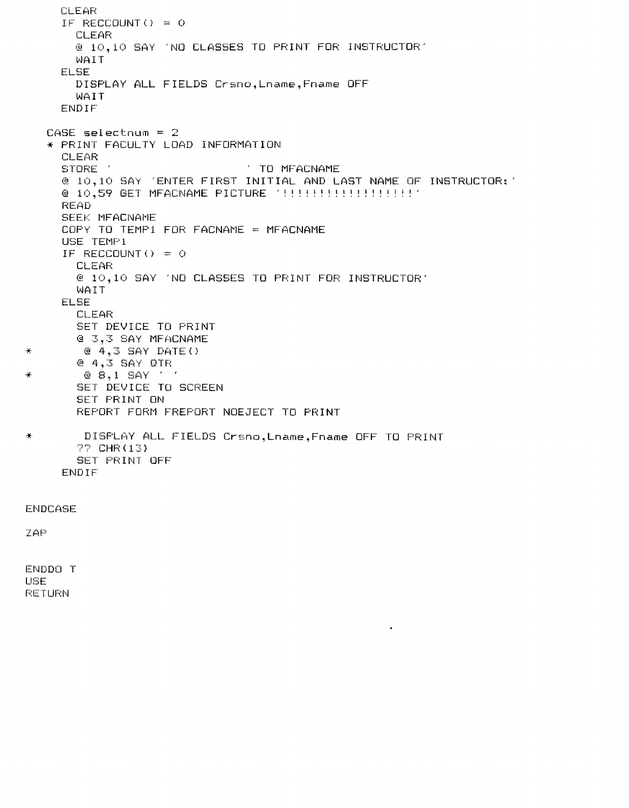```
CLEAR 
     IF RECCOUNT() = QCLEAR 
       @ 10,10 SAY 'NO CLASSES TO PRINT FOR INSTRUCTOR' 
       WAIT 
     ELSE 
       DISPLAY ALL FIELDS Crsno,Lname,Fname OFF 
       WAIT 
     ENDIF 
  CASE selectnum = 2 
  * PRINT FACULTY LOAD INFORMATION 
     CLEAR<br>STORE
                               TO MFACNAME
     @ 10,10 SAY 'ENTER FIRST INITIAL AND LAST NAME OF INSTRUCTOR:' 
     @ 10,59 GET MFACNAME PICTURE '!!!!!!!!!!!!!!!!!!!
     READ 
     SEEK MFACNAME 
     COPY TO TEMP1 FOR FACNAME = MFACNAME
     USE TEMP1
     IF RECCOUNT() = QCLEAR 
       @ 10,10 SAY 'NO CLASSES TO PRINT FOR INSTRUCTOR' 
       WAIT 
     ELSE 
       CLEAR 
       SET DEVICE TO PRINT 
       @ 3,3 SAY MFACNAME 
* @ 4,3 SAY DATE() 
       @ 4,3 SAY QTR 
\star @ 8,1 SAY '
       SET DEVICE TO SCREEN 
       SET PRINT ON 
       REPORT FORM FREPORT NOEJECT TO PRINT 
* DISPLAY ALL FIELDS Crsno,Lname,Fname OFF TO PRINT 
       ?? CHR(13) 
       SET PRINT OFF 
     ENDIF
```
 $\bullet$ 

ENDCASE

ZAP

ENDDO T USE RETURN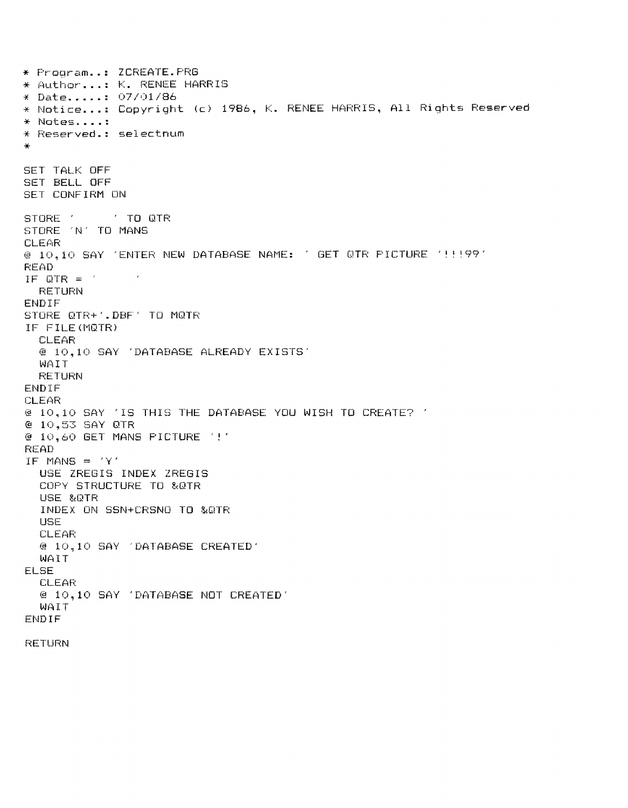\* Program..: ZCREATE.PRG \* Author...: K. RENEE HARRIS \* Date.....: 07/01/86 \* Notice...: Copyright (c) 1986, K. RENEE HARRIS, All Rights Reserved  $*$  Notes..... \* Reserved.: selectnum SET TALK OFF SET BELL OFF SET CONFIRM ON STORE ' **Example TO GTR** STORE 'N' TO MANS CLEAR @ 10,10 SAY 'ENTER NEW DATABASE NAME: ' GET QTR PICTURE ' !! ! 99' **READ** IF QTR =  $\gamma$  $\sim 10^{-2}$ **RETURN** ENDIF STORE QTR+1.DBF1 TO MQTR IF FILE(MQTR) **CLEAR** @ 10,10 SAY 'DATABASE ALREADY EXISTS' WAIT **RETURN** ENDIF CLEAR @ 10,10 SAY 'IS THIS THE DATABASE YOU WISH TO CREATE? ' @ 10,53 SAY QTR @ 10,60 GET MANS FICTURE '!' **READ** IF MANS =  $'Y'$ USE ZREGIS INDEX ZREGIS COPY STRUCTURE TO &QTR USE &QTR INDEX ON SSN+CRSNO TO &QTR USE CLEAR @ 10,10 SAY 'DATABASE CREATED' WAIT **ELSE CLEAR** @ 10,10 SAY 'DATABASE NOT CREATED' WAIT **ENDIF RETURN**